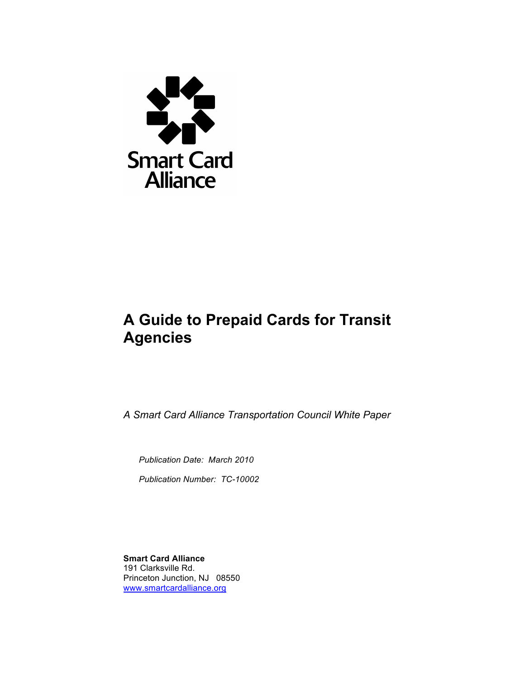

# **A Guide to Prepaid Cards for Transit Agencies**

*A Smart Card Alliance Transportation Council White Paper*

*Publication Date: March 2010*

*Publication Number: TC-10002*

**Smart Card Alliance** 191 Clarksville Rd. Princeton Junction, NJ 08550 www.smartcardalliance.org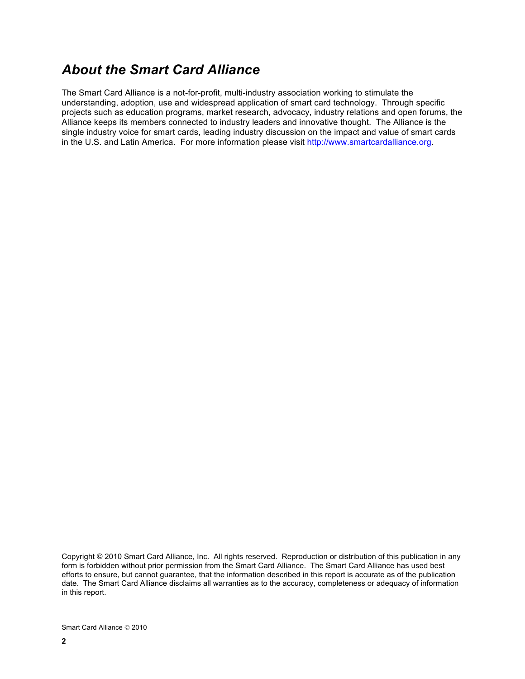# *About the Smart Card Alliance*

The Smart Card Alliance is a not-for-profit, multi-industry association working to stimulate the understanding, adoption, use and widespread application of smart card technology. Through specific projects such as education programs, market research, advocacy, industry relations and open forums, the Alliance keeps its members connected to industry leaders and innovative thought. The Alliance is the single industry voice for smart cards, leading industry discussion on the impact and value of smart cards in the U.S. and Latin America. For more information please visit http://www.smartcardalliance.org.

Copyright © 2010 Smart Card Alliance, Inc. All rights reserved. Reproduction or distribution of this publication in any form is forbidden without prior permission from the Smart Card Alliance. The Smart Card Alliance has used best efforts to ensure, but cannot guarantee, that the information described in this report is accurate as of the publication date. The Smart Card Alliance disclaims all warranties as to the accuracy, completeness or adequacy of information in this report.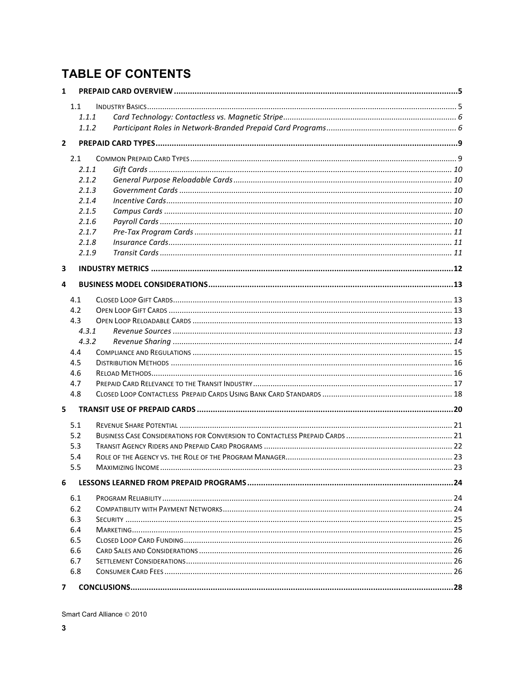# **TABLE OF CONTENTS**

| 1              |            |  |  |
|----------------|------------|--|--|
|                | 1.1        |  |  |
|                | 1.1.1      |  |  |
|                | 1.1.2      |  |  |
| $\overline{2}$ |            |  |  |
|                | 2.1        |  |  |
|                | 2.1.1      |  |  |
|                | 2.1.2      |  |  |
|                | 2.1.3      |  |  |
|                | 2.1.4      |  |  |
|                | 2.1.5      |  |  |
|                | 2.1.6      |  |  |
|                | 2.1.7      |  |  |
|                | 2.1.8      |  |  |
|                | 2.1.9      |  |  |
| 3              |            |  |  |
| 4              |            |  |  |
|                |            |  |  |
|                | 4.1<br>4.2 |  |  |
|                | 4.3        |  |  |
|                | 4.3.1      |  |  |
|                | 4.3.2      |  |  |
|                | 4.4        |  |  |
|                | 4.5        |  |  |
|                | 4.6        |  |  |
|                | 4.7        |  |  |
|                | 4.8        |  |  |
| 5              |            |  |  |
|                | 5.1        |  |  |
|                | 5.2        |  |  |
|                | 5.3        |  |  |
|                | 5.4        |  |  |
|                | 5.5        |  |  |
| 6              |            |  |  |
|                | 6.1        |  |  |
|                | 6.2        |  |  |
|                | 6.3        |  |  |
|                | 6.4        |  |  |
|                | 6.5        |  |  |
|                | 6.6        |  |  |
|                | 6.7        |  |  |
|                | 6.8        |  |  |
| 7              |            |  |  |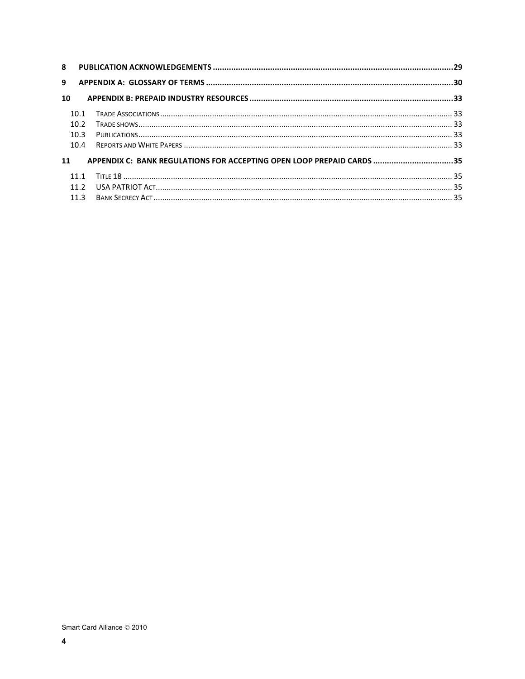| 8                                                                           |                 |  |  |  |
|-----------------------------------------------------------------------------|-----------------|--|--|--|
| 9                                                                           |                 |  |  |  |
| 10                                                                          |                 |  |  |  |
|                                                                             | 10.1            |  |  |  |
|                                                                             | 102             |  |  |  |
|                                                                             | 10.3            |  |  |  |
|                                                                             | 10 <sub>4</sub> |  |  |  |
| APPENDIX C: BANK REGULATIONS FOR ACCEPTING OPEN LOOP PREPAID CARDS 35<br>11 |                 |  |  |  |
|                                                                             | 111             |  |  |  |
|                                                                             | 11 <sub>2</sub> |  |  |  |
|                                                                             | 113             |  |  |  |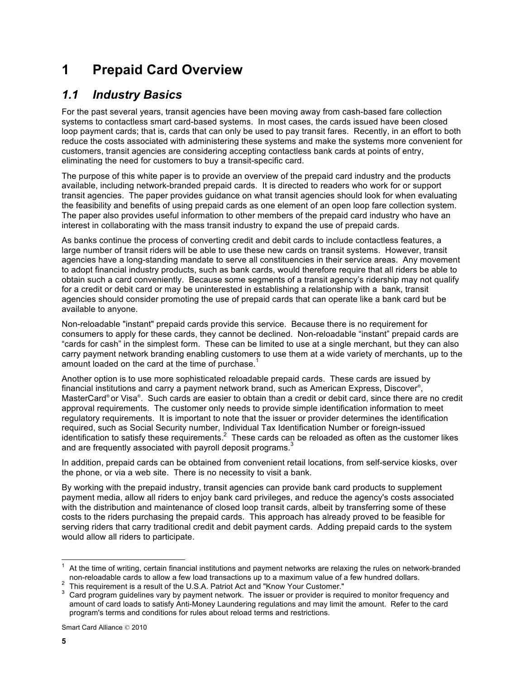# **1 Prepaid Card Overview**

## *1.1 Industry Basics*

For the past several years, transit agencies have been moving away from cash-based fare collection systems to contactless smart card-based systems. In most cases, the cards issued have been closed loop payment cards; that is, cards that can only be used to pay transit fares. Recently, in an effort to both reduce the costs associated with administering these systems and make the systems more convenient for customers, transit agencies are considering accepting contactless bank cards at points of entry, eliminating the need for customers to buy a transit-specific card.

The purpose of this white paper is to provide an overview of the prepaid card industry and the products available, including network-branded prepaid cards. It is directed to readers who work for or support transit agencies. The paper provides guidance on what transit agencies should look for when evaluating the feasibility and benefits of using prepaid cards as one element of an open loop fare collection system. The paper also provides useful information to other members of the prepaid card industry who have an interest in collaborating with the mass transit industry to expand the use of prepaid cards.

As banks continue the process of converting credit and debit cards to include contactless features, a large number of transit riders will be able to use these new cards on transit systems. However, transit agencies have a long-standing mandate to serve all constituencies in their service areas. Any movement to adopt financial industry products, such as bank cards, would therefore require that all riders be able to obtain such a card conveniently. Because some segments of a transit agency's ridership may not qualify for a credit or debit card or may be uninterested in establishing a relationship with a bank, transit agencies should consider promoting the use of prepaid cards that can operate like a bank card but be available to anyone.

Non-reloadable "instant" prepaid cards provide this service. Because there is no requirement for consumers to apply for these cards, they cannot be declined. Non-reloadable "instant" prepaid cards are "cards for cash" in the simplest form. These can be limited to use at a single merchant, but they can also carry payment network branding enabling customers to use them at a wide variety of merchants, up to the amount loaded on the card at the time of purchase.<sup>1</sup>

Another option is to use more sophisticated reloadable prepaid cards. These cards are issued by financial institutions and carry a payment network brand, such as American Express, Discover® , MasterCard® or Visa®. Such cards are easier to obtain than a credit or debit card, since there are no credit approval requirements. The customer only needs to provide simple identification information to meet regulatory requirements. It is important to note that the issuer or provider determines the identification required, such as Social Security number, Individual Tax Identification Number or foreign-issued identification to satisfy these requirements.<sup>2</sup> These cards can be reloaded as often as the customer likes and are frequently associated with payroll deposit programs.<sup>3</sup>

In addition, prepaid cards can be obtained from convenient retail locations, from self-service kiosks, over the phone, or via a web site. There is no necessity to visit a bank.

By working with the prepaid industry, transit agencies can provide bank card products to supplement payment media, allow all riders to enjoy bank card privileges, and reduce the agency's costs associated with the distribution and maintenance of closed loop transit cards, albeit by transferring some of these costs to the riders purchasing the prepaid cards. This approach has already proved to be feasible for serving riders that carry traditional credit and debit payment cards. Adding prepaid cards to the system would allow all riders to participate.

 <sup>1</sup> At the time of writing, certain financial institutions and payment networks are relaxing the rules on network-branded non-reloadable cards to allow a few load transactions up to a maximum value of a few hundred dollars.<br>
<sup>2</sup> This requirement is a result of the U.S.A. Patriot Act and "Know Your Customer."<br>
<sup>3</sup> Card program guidelines vary

amount of card loads to satisfy Anti-Money Laundering regulations and may limit the amount. Refer to the card program's terms and conditions for rules about reload terms and restrictions.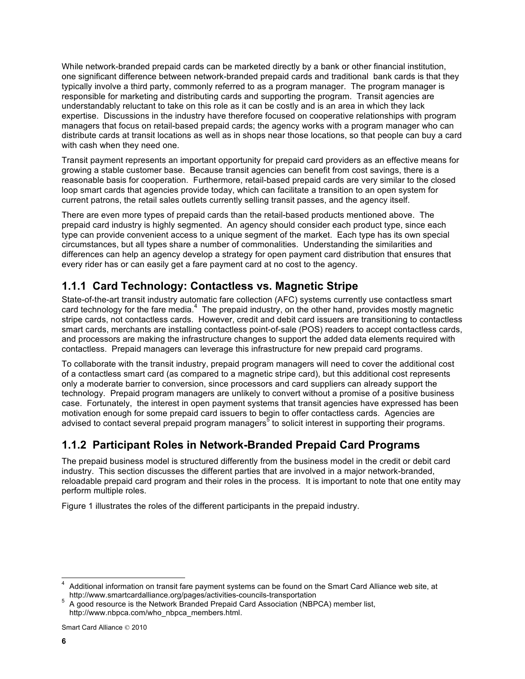While network-branded prepaid cards can be marketed directly by a bank or other financial institution, one significant difference between network-branded prepaid cards and traditional bank cards is that they typically involve a third party, commonly referred to as a program manager. The program manager is responsible for marketing and distributing cards and supporting the program. Transit agencies are understandably reluctant to take on this role as it can be costly and is an area in which they lack expertise. Discussions in the industry have therefore focused on cooperative relationships with program managers that focus on retail-based prepaid cards; the agency works with a program manager who can distribute cards at transit locations as well as in shops near those locations, so that people can buy a card with cash when they need one.

Transit payment represents an important opportunity for prepaid card providers as an effective means for growing a stable customer base. Because transit agencies can benefit from cost savings, there is a reasonable basis for cooperation. Furthermore, retail-based prepaid cards are very similar to the closed loop smart cards that agencies provide today, which can facilitate a transition to an open system for current patrons, the retail sales outlets currently selling transit passes, and the agency itself.

There are even more types of prepaid cards than the retail-based products mentioned above. The prepaid card industry is highly segmented. An agency should consider each product type, since each type can provide convenient access to a unique segment of the market. Each type has its own special circumstances, but all types share a number of commonalities. Understanding the similarities and differences can help an agency develop a strategy for open payment card distribution that ensures that every rider has or can easily get a fare payment card at no cost to the agency.

### **1.1.1 Card Technology: Contactless vs. Magnetic Stripe**

State-of-the-art transit industry automatic fare collection (AFC) systems currently use contactless smart card technology for the fare media.<sup>4</sup> The prepaid industry, on the other hand, provides mostly magnetic stripe cards, not contactless cards. However, credit and debit card issuers are transitioning to contactless smart cards, merchants are installing contactless point-of-sale (POS) readers to accept contactless cards, and processors are making the infrastructure changes to support the added data elements required with contactless. Prepaid managers can leverage this infrastructure for new prepaid card programs.

To collaborate with the transit industry, prepaid program managers will need to cover the additional cost of a contactless smart card (as compared to a magnetic stripe card), but this additional cost represents only a moderate barrier to conversion, since processors and card suppliers can already support the technology. Prepaid program managers are unlikely to convert without a promise of a positive business case. Fortunately, the interest in open payment systems that transit agencies have expressed has been motivation enough for some prepaid card issuers to begin to offer contactless cards. Agencies are advised to contact several prepaid program managers<sup>5</sup> to solicit interest in supporting their programs.

### **1.1.2 Participant Roles in Network-Branded Prepaid Card Programs**

The prepaid business model is structured differently from the business model in the credit or debit card industry. This section discusses the different parties that are involved in a major network-branded, reloadable prepaid card program and their roles in the process. It is important to note that one entity may perform multiple roles.

Figure 1 illustrates the roles of the different participants in the prepaid industry.

Additional information on transit fare payment systems can be found on the Smart Card Alliance web site, at http://www.smartcardalliance.org/pages/activities-councils-transportation

<sup>&</sup>lt;sup>5</sup> A good resource is the Network Branded Prepaid Card Association (NBPCA) member list, http://www.nbpca.com/who\_nbpca\_members.html.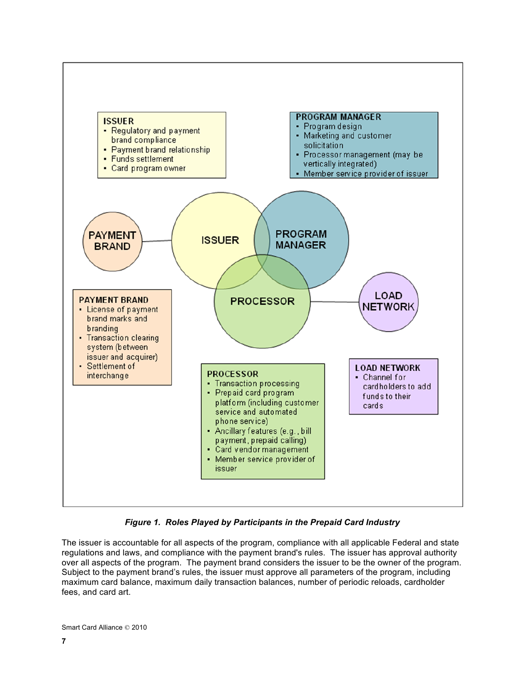

*Figure 1. Roles Played by Participants in the Prepaid Card Industry*

The issuer is accountable for all aspects of the program, compliance with all applicable Federal and state regulations and laws, and compliance with the payment brand's rules. The issuer has approval authority over all aspects of the program. The payment brand considers the issuer to be the owner of the program. Subject to the payment brand's rules, the issuer must approve all parameters of the program, including maximum card balance, maximum daily transaction balances, number of periodic reloads, cardholder fees, and card art.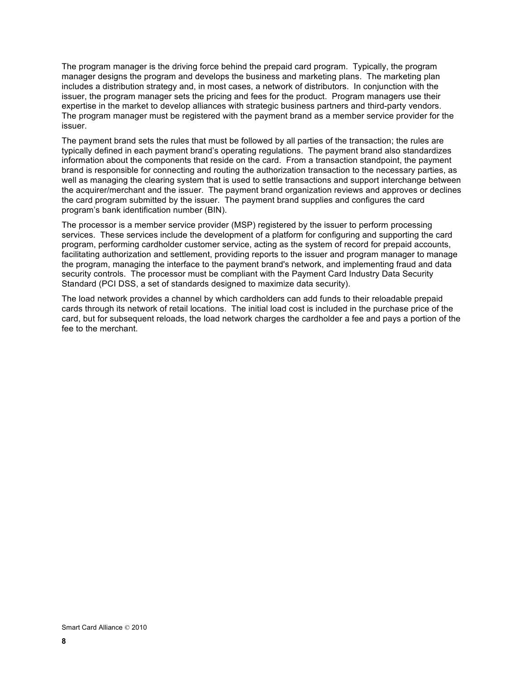The program manager is the driving force behind the prepaid card program. Typically, the program manager designs the program and develops the business and marketing plans. The marketing plan includes a distribution strategy and, in most cases, a network of distributors. In conjunction with the issuer, the program manager sets the pricing and fees for the product. Program managers use their expertise in the market to develop alliances with strategic business partners and third-party vendors. The program manager must be registered with the payment brand as a member service provider for the issuer.

The payment brand sets the rules that must be followed by all parties of the transaction; the rules are typically defined in each payment brand's operating regulations. The payment brand also standardizes information about the components that reside on the card. From a transaction standpoint, the payment brand is responsible for connecting and routing the authorization transaction to the necessary parties, as well as managing the clearing system that is used to settle transactions and support interchange between the acquirer/merchant and the issuer. The payment brand organization reviews and approves or declines the card program submitted by the issuer. The payment brand supplies and configures the card program's bank identification number (BIN).

The processor is a member service provider (MSP) registered by the issuer to perform processing services. These services include the development of a platform for configuring and supporting the card program, performing cardholder customer service, acting as the system of record for prepaid accounts, facilitating authorization and settlement, providing reports to the issuer and program manager to manage the program, managing the interface to the payment brand's network, and implementing fraud and data security controls. The processor must be compliant with the Payment Card Industry Data Security Standard (PCI DSS, a set of standards designed to maximize data security).

The load network provides a channel by which cardholders can add funds to their reloadable prepaid cards through its network of retail locations. The initial load cost is included in the purchase price of the card, but for subsequent reloads, the load network charges the cardholder a fee and pays a portion of the fee to the merchant.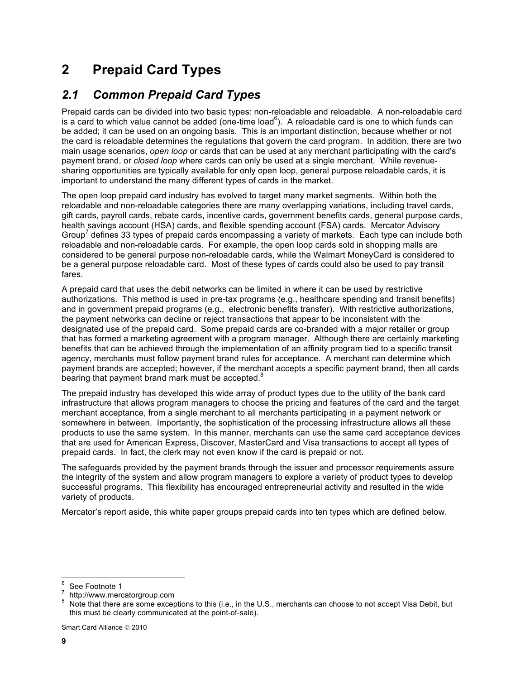# **2 Prepaid Card Types**

## *2.1 Common Prepaid Card Types*

Prepaid cards can be divided into two basic types: non-reloadable and reloadable. A non-reloadable card is a card to which value cannot be added (one-time load $^6$ ). A reloadable card is one to which funds can be added; it can be used on an ongoing basis. This is an important distinction, because whether or not the card is reloadable determines the regulations that govern the card program. In addition, there are two main usage scenarios, *open loop* or cards that can be used at any merchant participating with the card's payment brand, or *closed loop* where cards can only be used at a single merchant. While revenuesharing opportunities are typically available for only open loop, general purpose reloadable cards, it is important to understand the many different types of cards in the market.

The open loop prepaid card industry has evolved to target many market segments. Within both the reloadable and non-reloadable categories there are many overlapping variations, including travel cards, gift cards, payroll cards, rebate cards, incentive cards, government benefits cards, general purpose cards, health savings account (HSA) cards, and flexible spending account (FSA) cards. Mercator Advisory Group<sup>7</sup> defines 33 types of prepaid cards encompassing a variety of markets. Each type can include both reloadable and non-reloadable cards. For example, the open loop cards sold in shopping malls are considered to be general purpose non-reloadable cards, while the Walmart MoneyCard is considered to be a general purpose reloadable card. Most of these types of cards could also be used to pay transit fares.

A prepaid card that uses the debit networks can be limited in where it can be used by restrictive authorizations. This method is used in pre-tax programs (e.g., healthcare spending and transit benefits) and in government prepaid programs (e.g., electronic benefits transfer). With restrictive authorizations, the payment networks can decline or reject transactions that appear to be inconsistent with the designated use of the prepaid card. Some prepaid cards are co-branded with a major retailer or group that has formed a marketing agreement with a program manager. Although there are certainly marketing benefits that can be achieved through the implementation of an affinity program tied to a specific transit agency, merchants must follow payment brand rules for acceptance. A merchant can determine which payment brands are accepted; however, if the merchant accepts a specific payment brand, then all cards bearing that payment brand mark must be accepted.<sup>8</sup>

The prepaid industry has developed this wide array of product types due to the utility of the bank card infrastructure that allows program managers to choose the pricing and features of the card and the target merchant acceptance, from a single merchant to all merchants participating in a payment network or somewhere in between. Importantly, the sophistication of the processing infrastructure allows all these products to use the same system. In this manner, merchants can use the same card acceptance devices that are used for American Express, Discover, MasterCard and Visa transactions to accept all types of prepaid cards. In fact, the clerk may not even know if the card is prepaid or not.

The safeguards provided by the payment brands through the issuer and processor requirements assure the integrity of the system and allow program managers to explore a variety of product types to develop successful programs. This flexibility has encouraged entrepreneurial activity and resulted in the wide variety of products.

Mercator's report aside, this white paper groups prepaid cards into ten types which are defined below.

Smart Card Alliance © 2010

<sup>&</sup>lt;sup>6</sup> See Footnote 1<br><sup>7</sup> http://www.mercatorgroup.com<br><sup>8</sup> Note that there are some exceptions to this (i.e., in the U.S., merchants can choose to not accept Visa Debit, but this must be clearly communicated at the point-of-sale).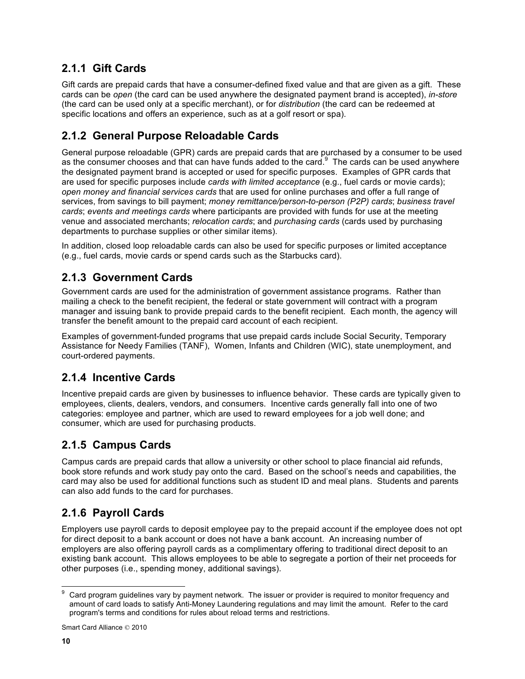### **2.1.1 Gift Cards**

Gift cards are prepaid cards that have a consumer-defined fixed value and that are given as a gift. These cards can be *open* (the card can be used anywhere the designated payment brand is accepted), *in-store* (the card can be used only at a specific merchant), or for *distribution* (the card can be redeemed at specific locations and offers an experience, such as at a golf resort or spa).

## **2.1.2 General Purpose Reloadable Cards**

General purpose reloadable (GPR) cards are prepaid cards that are purchased by a consumer to be used as the consumer chooses and that can have funds added to the card.  $9$  The cards can be used anywhere the designated payment brand is accepted or used for specific purposes. Examples of GPR cards that are used for specific purposes include *cards with limited acceptance* (e.g., fuel cards or movie cards); *open money and financial services cards* that are used for online purchases and offer a full range of services, from savings to bill payment; *money remittance/person-to-person (P2P) cards*; *business travel cards*; *events and meetings cards* where participants are provided with funds for use at the meeting venue and associated merchants; *relocation cards*; and *purchasing cards* (cards used by purchasing departments to purchase supplies or other similar items).

In addition, closed loop reloadable cards can also be used for specific purposes or limited acceptance (e.g., fuel cards, movie cards or spend cards such as the Starbucks card).

### **2.1.3 Government Cards**

Government cards are used for the administration of government assistance programs. Rather than mailing a check to the benefit recipient, the federal or state government will contract with a program manager and issuing bank to provide prepaid cards to the benefit recipient. Each month, the agency will transfer the benefit amount to the prepaid card account of each recipient.

Examples of government-funded programs that use prepaid cards include Social Security, Temporary Assistance for Needy Families (TANF), Women, Infants and Children (WIC), state unemployment, and court-ordered payments.

### **2.1.4 Incentive Cards**

Incentive prepaid cards are given by businesses to influence behavior. These cards are typically given to employees, clients, dealers, vendors, and consumers. Incentive cards generally fall into one of two categories: employee and partner, which are used to reward employees for a job well done; and consumer, which are used for purchasing products.

### **2.1.5 Campus Cards**

Campus cards are prepaid cards that allow a university or other school to place financial aid refunds, book store refunds and work study pay onto the card. Based on the school's needs and capabilities, the card may also be used for additional functions such as student ID and meal plans. Students and parents can also add funds to the card for purchases.

### **2.1.6 Payroll Cards**

Employers use payroll cards to deposit employee pay to the prepaid account if the employee does not opt for direct deposit to a bank account or does not have a bank account. An increasing number of employers are also offering payroll cards as a complimentary offering to traditional direct deposit to an existing bank account. This allows employees to be able to segregate a portion of their net proceeds for other purposes (i.e., spending money, additional savings).

Card program guidelines vary by payment network. The issuer or provider is required to monitor frequency and amount of card loads to satisfy Anti-Money Laundering regulations and may limit the amount. Refer to the card program's terms and conditions for rules about reload terms and restrictions.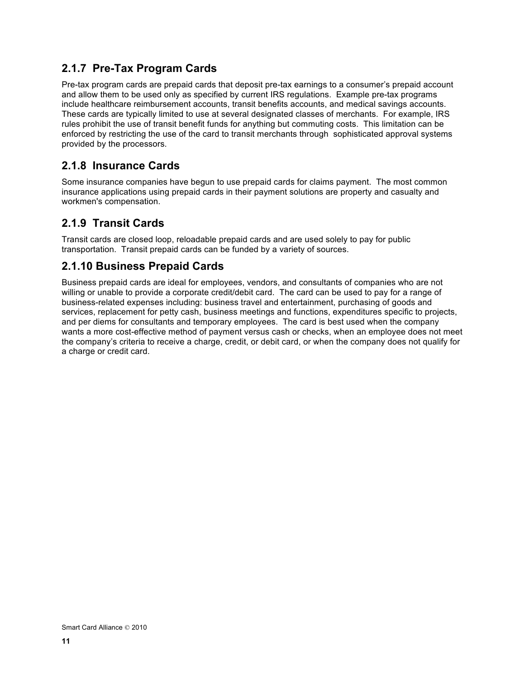### **2.1.7 Pre-Tax Program Cards**

Pre-tax program cards are prepaid cards that deposit pre-tax earnings to a consumer's prepaid account and allow them to be used only as specified by current IRS regulations. Example pre-tax programs include healthcare reimbursement accounts, transit benefits accounts, and medical savings accounts. These cards are typically limited to use at several designated classes of merchants. For example, IRS rules prohibit the use of transit benefit funds for anything but commuting costs. This limitation can be enforced by restricting the use of the card to transit merchants through sophisticated approval systems provided by the processors.

### **2.1.8 Insurance Cards**

Some insurance companies have begun to use prepaid cards for claims payment. The most common insurance applications using prepaid cards in their payment solutions are property and casualty and workmen's compensation.

### **2.1.9 Transit Cards**

Transit cards are closed loop, reloadable prepaid cards and are used solely to pay for public transportation. Transit prepaid cards can be funded by a variety of sources.

### **2.1.10 Business Prepaid Cards**

Business prepaid cards are ideal for employees, vendors, and consultants of companies who are not willing or unable to provide a corporate credit/debit card. The card can be used to pay for a range of business-related expenses including: business travel and entertainment, purchasing of goods and services, replacement for petty cash, business meetings and functions, expenditures specific to projects, and per diems for consultants and temporary employees. The card is best used when the company wants a more cost-effective method of payment versus cash or checks, when an employee does not meet the company's criteria to receive a charge, credit, or debit card, or when the company does not qualify for a charge or credit card.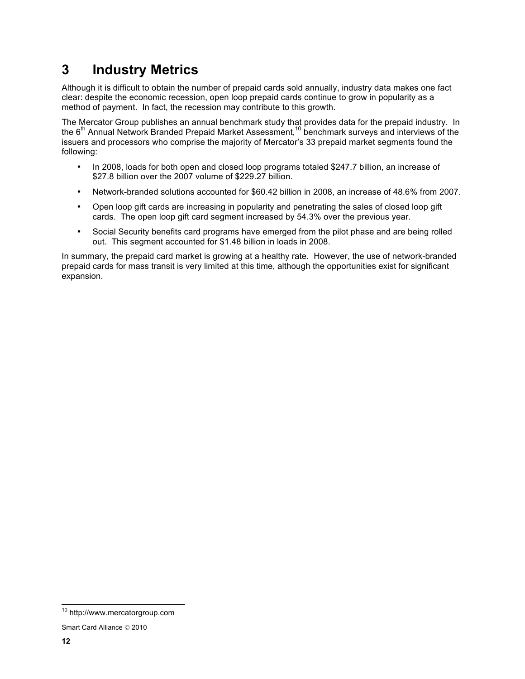# **3 Industry Metrics**

Although it is difficult to obtain the number of prepaid cards sold annually, industry data makes one fact clear: despite the economic recession, open loop prepaid cards continue to grow in popularity as a method of payment. In fact, the recession may contribute to this growth.

The Mercator Group publishes an annual benchmark study that provides data for the prepaid industry. In the 6<sup>th</sup> Annual Network Branded Prepaid Market Assessment,<sup>10</sup> benchmark surveys and interviews of the issuers and processors who comprise the majority of Mercator's 33 prepaid market segments found the following:

- In 2008, loads for both open and closed loop programs totaled \$247.7 billion, an increase of \$27.8 billion over the 2007 volume of \$229.27 billion.
- Network-branded solutions accounted for \$60.42 billion in 2008, an increase of 48.6% from 2007.
- Open loop gift cards are increasing in popularity and penetrating the sales of closed loop gift cards. The open loop gift card segment increased by 54.3% over the previous year.
- Social Security benefits card programs have emerged from the pilot phase and are being rolled out. This segment accounted for \$1.48 billion in loads in 2008.

In summary, the prepaid card market is growing at a healthy rate. However, the use of network-branded prepaid cards for mass transit is very limited at this time, although the opportunities exist for significant expansion.

 <sup>10</sup> http://www.mercatorgroup.com

Smart Card Alliance © 2010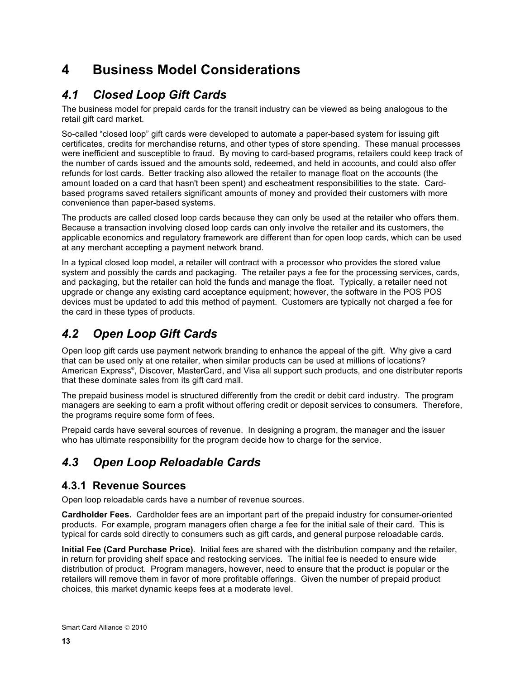# **4 Business Model Considerations**

# *4.1 Closed Loop Gift Cards*

The business model for prepaid cards for the transit industry can be viewed as being analogous to the retail gift card market.

So-called "closed loop" gift cards were developed to automate a paper-based system for issuing gift certificates, credits for merchandise returns, and other types of store spending. These manual processes were inefficient and susceptible to fraud. By moving to card-based programs, retailers could keep track of the number of cards issued and the amounts sold, redeemed, and held in accounts, and could also offer refunds for lost cards. Better tracking also allowed the retailer to manage float on the accounts (the amount loaded on a card that hasn't been spent) and escheatment responsibilities to the state. Cardbased programs saved retailers significant amounts of money and provided their customers with more convenience than paper-based systems.

The products are called closed loop cards because they can only be used at the retailer who offers them. Because a transaction involving closed loop cards can only involve the retailer and its customers, the applicable economics and regulatory framework are different than for open loop cards, which can be used at any merchant accepting a payment network brand.

In a typical closed loop model, a retailer will contract with a processor who provides the stored value system and possibly the cards and packaging. The retailer pays a fee for the processing services, cards, and packaging, but the retailer can hold the funds and manage the float. Typically, a retailer need not upgrade or change any existing card acceptance equipment; however, the software in the POS POS devices must be updated to add this method of payment. Customers are typically not charged a fee for the card in these types of products.

# *4.2 Open Loop Gift Cards*

Open loop gift cards use payment network branding to enhance the appeal of the gift. Why give a card that can be used only at one retailer, when similar products can be used at millions of locations? American Express® , Discover, MasterCard, and Visa all support such products, and one distributer reports that these dominate sales from its gift card mall.

The prepaid business model is structured differently from the credit or debit card industry. The program managers are seeking to earn a profit without offering credit or deposit services to consumers. Therefore, the programs require some form of fees.

Prepaid cards have several sources of revenue. In designing a program, the manager and the issuer who has ultimate responsibility for the program decide how to charge for the service.

# *4.3 Open Loop Reloadable Cards*

### **4.3.1 Revenue Sources**

Open loop reloadable cards have a number of revenue sources.

**Cardholder Fees.** Cardholder fees are an important part of the prepaid industry for consumer-oriented products. For example, program managers often charge a fee for the initial sale of their card. This is typical for cards sold directly to consumers such as gift cards, and general purpose reloadable cards.

**Initial Fee (Card Purchase Price)**. Initial fees are shared with the distribution company and the retailer, in return for providing shelf space and restocking services. The initial fee is needed to ensure wide distribution of product. Program managers, however, need to ensure that the product is popular or the retailers will remove them in favor of more profitable offerings. Given the number of prepaid product choices, this market dynamic keeps fees at a moderate level.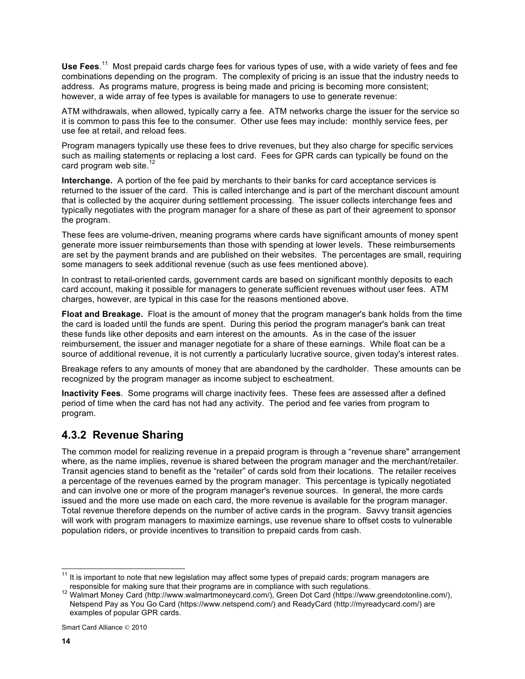Use Fees.<sup>11</sup> Most prepaid cards charge fees for various types of use, with a wide variety of fees and fee combinations depending on the program. The complexity of pricing is an issue that the industry needs to address. As programs mature, progress is being made and pricing is becoming more consistent; however, a wide array of fee types is available for managers to use to generate revenue:

ATM withdrawals, when allowed, typically carry a fee. ATM networks charge the issuer for the service so it is common to pass this fee to the consumer. Other use fees may include: monthly service fees, per use fee at retail, and reload fees.

Program managers typically use these fees to drive revenues, but they also charge for specific services such as mailing statements or replacing a lost card. Fees for GPR cards can typically be found on the card program web site.<sup>12</sup>

**Interchange.** A portion of the fee paid by merchants to their banks for card acceptance services is returned to the issuer of the card. This is called interchange and is part of the merchant discount amount that is collected by the acquirer during settlement processing. The issuer collects interchange fees and typically negotiates with the program manager for a share of these as part of their agreement to sponsor the program.

These fees are volume-driven, meaning programs where cards have significant amounts of money spent generate more issuer reimbursements than those with spending at lower levels. These reimbursements are set by the payment brands and are published on their websites. The percentages are small, requiring some managers to seek additional revenue (such as use fees mentioned above).

In contrast to retail-oriented cards, government cards are based on significant monthly deposits to each card account, making it possible for managers to generate sufficient revenues without user fees. ATM charges, however, are typical in this case for the reasons mentioned above.

**Float and Breakage.** Float is the amount of money that the program manager's bank holds from the time the card is loaded until the funds are spent. During this period the program manager's bank can treat these funds like other deposits and earn interest on the amounts. As in the case of the issuer reimbursement, the issuer and manager negotiate for a share of these earnings. While float can be a source of additional revenue, it is not currently a particularly lucrative source, given today's interest rates.

Breakage refers to any amounts of money that are abandoned by the cardholder. These amounts can be recognized by the program manager as income subject to escheatment.

**Inactivity Fees**. Some programs will charge inactivity fees. These fees are assessed after a defined period of time when the card has not had any activity. The period and fee varies from program to program.

### **4.3.2 Revenue Sharing**

The common model for realizing revenue in a prepaid program is through a "revenue share" arrangement where, as the name implies, revenue is shared between the program manager and the merchant/retailer. Transit agencies stand to benefit as the "retailer" of cards sold from their locations. The retailer receives a percentage of the revenues earned by the program manager. This percentage is typically negotiated and can involve one or more of the program manager's revenue sources. In general, the more cards issued and the more use made on each card, the more revenue is available for the program manager. Total revenue therefore depends on the number of active cards in the program. Savvy transit agencies will work with program managers to maximize earnings, use revenue share to offset costs to vulnerable population riders, or provide incentives to transition to prepaid cards from cash.

<sup>&</sup>lt;sup>11</sup> It is important to note that new legislation may affect some types of prepaid cards; program managers are responsible for making sure that their programs are in compliance with such regulations.

<sup>&</sup>lt;sup>12</sup> Walmart Money Card (http://www.walmartmoneycard.com/), Green Dot Card (https://www.greendotonline.com/), Netspend Pay as You Go Card (https://www.netspend.com/) and ReadyCard (http://myreadycard.com/) are examples of popular GPR cards.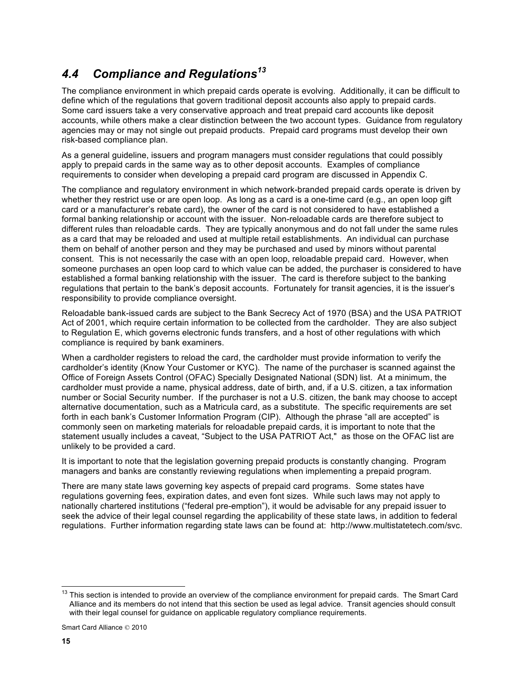# *4.4 Compliance and Regulations<sup>13</sup>*

The compliance environment in which prepaid cards operate is evolving. Additionally, it can be difficult to define which of the regulations that govern traditional deposit accounts also apply to prepaid cards. Some card issuers take a very conservative approach and treat prepaid card accounts like deposit accounts, while others make a clear distinction between the two account types. Guidance from regulatory agencies may or may not single out prepaid products. Prepaid card programs must develop their own risk-based compliance plan.

As a general guideline, issuers and program managers must consider regulations that could possibly apply to prepaid cards in the same way as to other deposit accounts. Examples of compliance requirements to consider when developing a prepaid card program are discussed in Appendix C.

The compliance and regulatory environment in which network-branded prepaid cards operate is driven by whether they restrict use or are open loop. As long as a card is a one-time card (e.g., an open loop gift card or a manufacturer's rebate card), the owner of the card is not considered to have established a formal banking relationship or account with the issuer. Non-reloadable cards are therefore subject to different rules than reloadable cards. They are typically anonymous and do not fall under the same rules as a card that may be reloaded and used at multiple retail establishments. An individual can purchase them on behalf of another person and they may be purchased and used by minors without parental consent. This is not necessarily the case with an open loop, reloadable prepaid card. However, when someone purchases an open loop card to which value can be added, the purchaser is considered to have established a formal banking relationship with the issuer. The card is therefore subject to the banking regulations that pertain to the bank's deposit accounts. Fortunately for transit agencies, it is the issuer's responsibility to provide compliance oversight.

Reloadable bank-issued cards are subject to the Bank Secrecy Act of 1970 (BSA) and the USA PATRIOT Act of 2001, which require certain information to be collected from the cardholder. They are also subject to Regulation E, which governs electronic funds transfers, and a host of other regulations with which compliance is required by bank examiners.

When a cardholder registers to reload the card, the cardholder must provide information to verify the cardholder's identity (Know Your Customer or KYC). The name of the purchaser is scanned against the Office of Foreign Assets Control (OFAC) Specially Designated National (SDN) list. At a minimum, the cardholder must provide a name, physical address, date of birth, and, if a U.S. citizen, a tax information number or Social Security number. If the purchaser is not a U.S. citizen, the bank may choose to accept alternative documentation, such as a Matricula card, as a substitute. The specific requirements are set forth in each bank's Customer Information Program (CIP). Although the phrase "all are accepted" is commonly seen on marketing materials for reloadable prepaid cards, it is important to note that the statement usually includes a caveat, "Subject to the USA PATRIOT Act," as those on the OFAC list are unlikely to be provided a card.

It is important to note that the legislation governing prepaid products is constantly changing. Program managers and banks are constantly reviewing regulations when implementing a prepaid program.

There are many state laws governing key aspects of prepaid card programs. Some states have regulations governing fees, expiration dates, and even font sizes. While such laws may not apply to nationally chartered institutions ("federal pre-emption"), it would be advisable for any prepaid issuer to seek the advice of their legal counsel regarding the applicability of these state laws, in addition to federal regulations. Further information regarding state laws can be found at: http://www.multistatetech.com/svc.

 $13$  This section is intended to provide an overview of the compliance environment for prepaid cards. The Smart Card Alliance and its members do not intend that this section be used as legal advice. Transit agencies should consult with their legal counsel for guidance on applicable regulatory compliance requirements.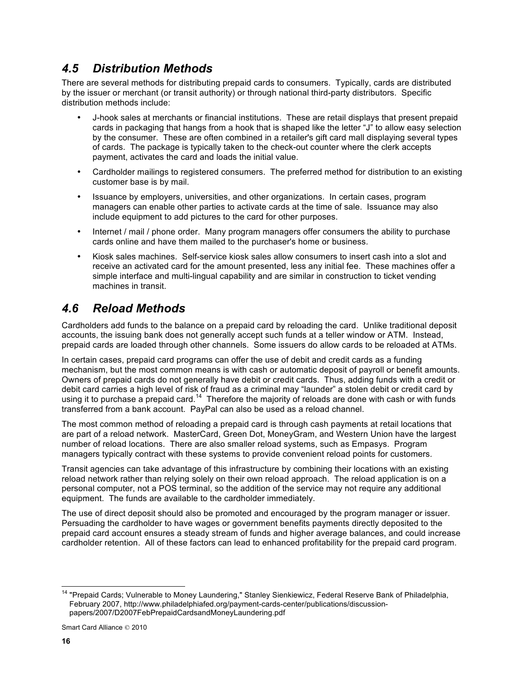### *4.5 Distribution Methods*

There are several methods for distributing prepaid cards to consumers. Typically, cards are distributed by the issuer or merchant (or transit authority) or through national third-party distributors. Specific distribution methods include:

- J-hook sales at merchants or financial institutions. These are retail displays that present prepaid cards in packaging that hangs from a hook that is shaped like the letter "J" to allow easy selection by the consumer. These are often combined in a retailer's gift card mall displaying several types of cards. The package is typically taken to the check-out counter where the clerk accepts payment, activates the card and loads the initial value.
- Cardholder mailings to registered consumers. The preferred method for distribution to an existing customer base is by mail.
- Issuance by employers, universities, and other organizations. In certain cases, program managers can enable other parties to activate cards at the time of sale. Issuance may also include equipment to add pictures to the card for other purposes.
- Internet / mail / phone order. Many program managers offer consumers the ability to purchase cards online and have them mailed to the purchaser's home or business.
- Kiosk sales machines. Self-service kiosk sales allow consumers to insert cash into a slot and receive an activated card for the amount presented, less any initial fee. These machines offer a simple interface and multi-lingual capability and are similar in construction to ticket vending machines in transit.

# *4.6 Reload Methods*

Cardholders add funds to the balance on a prepaid card by reloading the card. Unlike traditional deposit accounts, the issuing bank does not generally accept such funds at a teller window or ATM. Instead, prepaid cards are loaded through other channels. Some issuers do allow cards to be reloaded at ATMs.

In certain cases, prepaid card programs can offer the use of debit and credit cards as a funding mechanism, but the most common means is with cash or automatic deposit of payroll or benefit amounts. Owners of prepaid cards do not generally have debit or credit cards. Thus, adding funds with a credit or debit card carries a high level of risk of fraud as a criminal may "launder" a stolen debit or credit card by using it to purchase a prepaid card.<sup>14</sup> Therefore the majority of reloads are done with cash or with funds transferred from a bank account. PayPal can also be used as a reload channel.

The most common method of reloading a prepaid card is through cash payments at retail locations that are part of a reload network. MasterCard, Green Dot, MoneyGram, and Western Union have the largest number of reload locations. There are also smaller reload systems, such as Empasys. Program managers typically contract with these systems to provide convenient reload points for customers.

Transit agencies can take advantage of this infrastructure by combining their locations with an existing reload network rather than relying solely on their own reload approach. The reload application is on a personal computer, not a POS terminal, so the addition of the service may not require any additional equipment. The funds are available to the cardholder immediately.

The use of direct deposit should also be promoted and encouraged by the program manager or issuer. Persuading the cardholder to have wages or government benefits payments directly deposited to the prepaid card account ensures a steady stream of funds and higher average balances, and could increase cardholder retention. All of these factors can lead to enhanced profitability for the prepaid card program.

<sup>&</sup>lt;sup>14</sup> "Prepaid Cards; Vulnerable to Money Laundering," Stanley Sienkiewicz, Federal Reserve Bank of Philadelphia, February 2007, http://www.philadelphiafed.org/payment-cards-center/publications/discussionpapers/2007/D2007FebPrepaidCardsandMoneyLaundering.pdf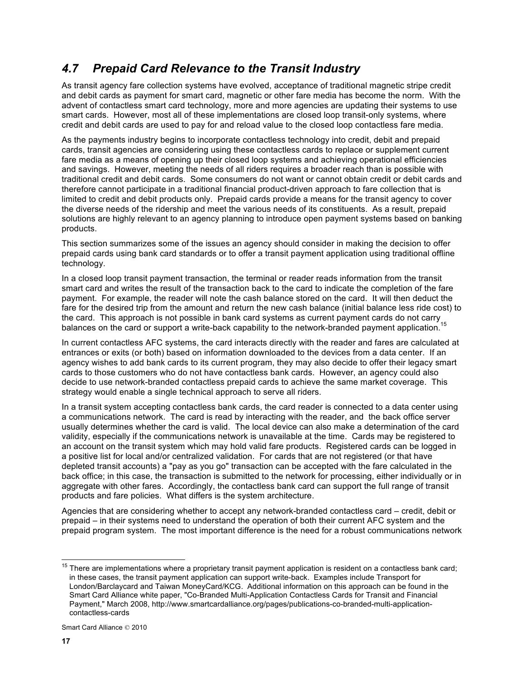## *4.7 Prepaid Card Relevance to the Transit Industry*

As transit agency fare collection systems have evolved, acceptance of traditional magnetic stripe credit and debit cards as payment for smart card, magnetic or other fare media has become the norm. With the advent of contactless smart card technology, more and more agencies are updating their systems to use smart cards. However, most all of these implementations are closed loop transit-only systems, where credit and debit cards are used to pay for and reload value to the closed loop contactless fare media.

As the payments industry begins to incorporate contactless technology into credit, debit and prepaid cards, transit agencies are considering using these contactless cards to replace or supplement current fare media as a means of opening up their closed loop systems and achieving operational efficiencies and savings. However, meeting the needs of all riders requires a broader reach than is possible with traditional credit and debit cards. Some consumers do not want or cannot obtain credit or debit cards and therefore cannot participate in a traditional financial product-driven approach to fare collection that is limited to credit and debit products only. Prepaid cards provide a means for the transit agency to cover the diverse needs of the ridership and meet the various needs of its constituents. As a result, prepaid solutions are highly relevant to an agency planning to introduce open payment systems based on banking products.

This section summarizes some of the issues an agency should consider in making the decision to offer prepaid cards using bank card standards or to offer a transit payment application using traditional offline technology.

In a closed loop transit payment transaction, the terminal or reader reads information from the transit smart card and writes the result of the transaction back to the card to indicate the completion of the fare payment. For example, the reader will note the cash balance stored on the card. It will then deduct the fare for the desired trip from the amount and return the new cash balance (initial balance less ride cost) to the card. This approach is not possible in bank card systems as current payment cards do not carry balances on the card or support a write-back capability to the network-branded payment application.<sup>15</sup>

In current contactless AFC systems, the card interacts directly with the reader and fares are calculated at entrances or exits (or both) based on information downloaded to the devices from a data center. If an agency wishes to add bank cards to its current program, they may also decide to offer their legacy smart cards to those customers who do not have contactless bank cards. However, an agency could also decide to use network-branded contactless prepaid cards to achieve the same market coverage. This strategy would enable a single technical approach to serve all riders.

In a transit system accepting contactless bank cards, the card reader is connected to a data center using a communications network. The card is read by interacting with the reader, and the back office server usually determines whether the card is valid. The local device can also make a determination of the card validity, especially if the communications network is unavailable at the time. Cards may be registered to an account on the transit system which may hold valid fare products. Registered cards can be logged in a positive list for local and/or centralized validation. For cards that are not registered (or that have depleted transit accounts) a "pay as you go" transaction can be accepted with the fare calculated in the back office; in this case, the transaction is submitted to the network for processing, either individually or in aggregate with other fares. Accordingly, the contactless bank card can support the full range of transit products and fare policies. What differs is the system architecture.

Agencies that are considering whether to accept any network-branded contactless card – credit, debit or prepaid – in their systems need to understand the operation of both their current AFC system and the prepaid program system. The most important difference is the need for a robust communications network

 $15$  There are implementations where a proprietary transit payment application is resident on a contactless bank card; in these cases, the transit payment application can support write-back. Examples include Transport for London/Barclaycard and Taiwan MoneyCard/KCG. Additional information on this approach can be found in the Smart Card Alliance white paper, "Co-Branded Multi-Application Contactless Cards for Transit and Financial Payment," March 2008, http://www.smartcardalliance.org/pages/publications-co-branded-multi-applicationcontactless-cards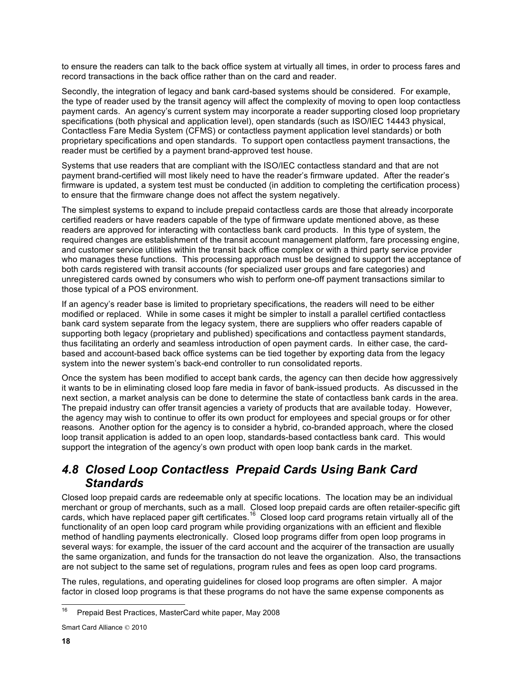to ensure the readers can talk to the back office system at virtually all times, in order to process fares and record transactions in the back office rather than on the card and reader.

Secondly, the integration of legacy and bank card-based systems should be considered. For example, the type of reader used by the transit agency will affect the complexity of moving to open loop contactless payment cards. An agency's current system may incorporate a reader supporting closed loop proprietary specifications (both physical and application level), open standards (such as ISO/IEC 14443 physical, Contactless Fare Media System (CFMS) or contactless payment application level standards) or both proprietary specifications and open standards. To support open contactless payment transactions, the reader must be certified by a payment brand-approved test house.

Systems that use readers that are compliant with the ISO/IEC contactless standard and that are not payment brand-certified will most likely need to have the reader's firmware updated. After the reader's firmware is updated, a system test must be conducted (in addition to completing the certification process) to ensure that the firmware change does not affect the system negatively.

The simplest systems to expand to include prepaid contactless cards are those that already incorporate certified readers or have readers capable of the type of firmware update mentioned above, as these readers are approved for interacting with contactless bank card products. In this type of system, the required changes are establishment of the transit account management platform, fare processing engine, and customer service utilities within the transit back office complex or with a third party service provider who manages these functions. This processing approach must be designed to support the acceptance of both cards registered with transit accounts (for specialized user groups and fare categories) and unregistered cards owned by consumers who wish to perform one-off payment transactions similar to those typical of a POS environment.

If an agency's reader base is limited to proprietary specifications, the readers will need to be either modified or replaced. While in some cases it might be simpler to install a parallel certified contactless bank card system separate from the legacy system, there are suppliers who offer readers capable of supporting both legacy (proprietary and published) specifications and contactless payment standards, thus facilitating an orderly and seamless introduction of open payment cards. In either case, the cardbased and account-based back office systems can be tied together by exporting data from the legacy system into the newer system's back-end controller to run consolidated reports.

Once the system has been modified to accept bank cards, the agency can then decide how aggressively it wants to be in eliminating closed loop fare media in favor of bank-issued products. As discussed in the next section, a market analysis can be done to determine the state of contactless bank cards in the area. The prepaid industry can offer transit agencies a variety of products that are available today. However, the agency may wish to continue to offer its own product for employees and special groups or for other reasons. Another option for the agency is to consider a hybrid, co-branded approach, where the closed loop transit application is added to an open loop, standards-based contactless bank card. This would support the integration of the agency's own product with open loop bank cards in the market.

### *4.8 Closed Loop Contactless Prepaid Cards Using Bank Card Standards*

Closed loop prepaid cards are redeemable only at specific locations. The location may be an individual merchant or group of merchants, such as a mall. Closed loop prepaid cards are often retailer-specific gift cards, which have replaced paper gift certificates.<sup>16</sup> Closed loop card programs retain virtually all of the functionality of an open loop card program while providing organizations with an efficient and flexible method of handling payments electronically. Closed loop programs differ from open loop programs in several ways: for example, the issuer of the card account and the acquirer of the transaction are usually the same organization, and funds for the transaction do not leave the organization. Also, the transactions are not subject to the same set of regulations, program rules and fees as open loop card programs.

The rules, regulations, and operating guidelines for closed loop programs are often simpler. A major factor in closed loop programs is that these programs do not have the same expense components as

<sup>&</sup>lt;sup>16</sup> Prepaid Best Practices, MasterCard white paper, May 2008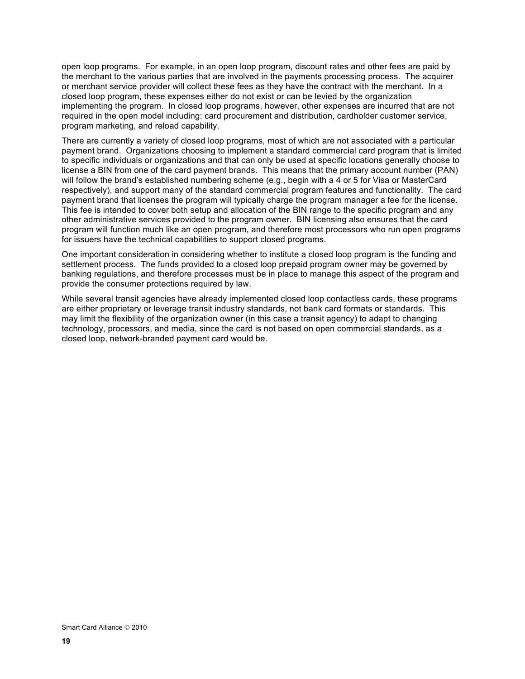open loop programs. For example, in an open loop program, discount rates and other fees are paid by the merchant to the various parties that are involved in the payments processing process. The acquirer or merchant service provider will collect these fees as they have the contract with the merchant. In a closed loop program, these expenses either do not exist or can be levied by the organization implementing the program. In closed loop programs, however, other expenses are incurred that are not required in the open model including: card procurement and distribution, cardholder customer service, program marketing, and reload capability.

There are currently a variety of closed loop programs, most of which are not associated with a particular payment brand. Organizations choosing to implement a standard commercial card program that is limited to specific individuals or organizations and that can only be used at specific locations generally choose to license a BIN from one of the card payment brands. This means that the primary account number (PAN) will follow the brand's established numbering scheme (e.g., begin with a 4 or 5 for Visa or MasterCard respectively), and support many of the standard commercial program features and functionality. The card payment brand that licenses the program will typically charge the program manager a fee for the license. This fee is intended to cover both setup and allocation of the BIN range to the specific program and any other administrative services provided to the program owner. BIN licensing also ensures that the card program will function much like an open program, and therefore most processors who run open programs for issuers have the technical capabilities to support closed programs.

One important consideration in considering whether to institute a closed loop program is the funding and settlement process. The funds provided to a closed loop prepaid program owner may be governed by banking regulations, and therefore processes must be in place to manage this aspect of the program and provide the consumer protections required by law.

While several transit agencies have already implemented closed loop contactless cards, these programs are either proprietary or leverage transit industry standards, not bank card formats or standards. This may limit the flexibility of the organization owner (in this case a transit agency) to adapt to changing technology, processors, and media, since the card is not based on open commercial standards, as a closed loop, network-branded payment card would be.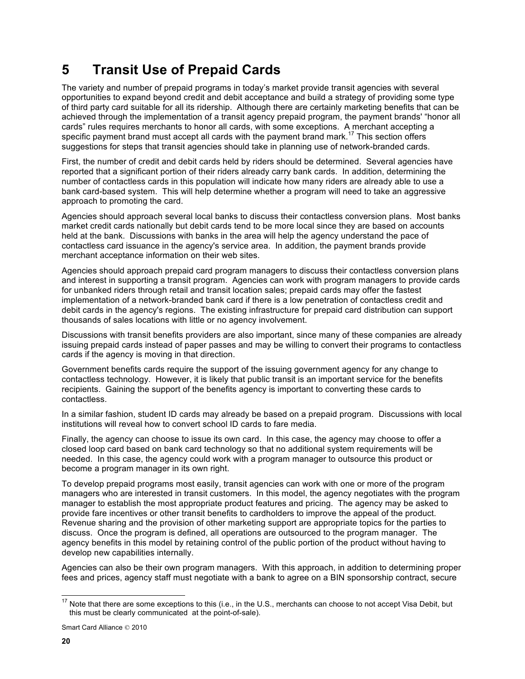# **5 Transit Use of Prepaid Cards**

The variety and number of prepaid programs in today's market provide transit agencies with several opportunities to expand beyond credit and debit acceptance and build a strategy of providing some type of third party card suitable for all its ridership. Although there are certainly marketing benefits that can be achieved through the implementation of a transit agency prepaid program, the payment brands' "honor all cards" rules requires merchants to honor all cards, with some exceptions. A merchant accepting a specific payment brand must accept all cards with the payment brand mark.<sup>17</sup> This section offers suggestions for steps that transit agencies should take in planning use of network-branded cards.

First, the number of credit and debit cards held by riders should be determined. Several agencies have reported that a significant portion of their riders already carry bank cards. In addition, determining the number of contactless cards in this population will indicate how many riders are already able to use a bank card-based system. This will help determine whether a program will need to take an aggressive approach to promoting the card.

Agencies should approach several local banks to discuss their contactless conversion plans. Most banks market credit cards nationally but debit cards tend to be more local since they are based on accounts held at the bank. Discussions with banks in the area will help the agency understand the pace of contactless card issuance in the agency's service area. In addition, the payment brands provide merchant acceptance information on their web sites.

Agencies should approach prepaid card program managers to discuss their contactless conversion plans and interest in supporting a transit program. Agencies can work with program managers to provide cards for unbanked riders through retail and transit location sales; prepaid cards may offer the fastest implementation of a network-branded bank card if there is a low penetration of contactless credit and debit cards in the agency's regions. The existing infrastructure for prepaid card distribution can support thousands of sales locations with little or no agency involvement.

Discussions with transit benefits providers are also important, since many of these companies are already issuing prepaid cards instead of paper passes and may be willing to convert their programs to contactless cards if the agency is moving in that direction.

Government benefits cards require the support of the issuing government agency for any change to contactless technology. However, it is likely that public transit is an important service for the benefits recipients. Gaining the support of the benefits agency is important to converting these cards to contactless.

In a similar fashion, student ID cards may already be based on a prepaid program. Discussions with local institutions will reveal how to convert school ID cards to fare media.

Finally, the agency can choose to issue its own card. In this case, the agency may choose to offer a closed loop card based on bank card technology so that no additional system requirements will be needed. In this case, the agency could work with a program manager to outsource this product or become a program manager in its own right.

To develop prepaid programs most easily, transit agencies can work with one or more of the program managers who are interested in transit customers. In this model, the agency negotiates with the program manager to establish the most appropriate product features and pricing. The agency may be asked to provide fare incentives or other transit benefits to cardholders to improve the appeal of the product. Revenue sharing and the provision of other marketing support are appropriate topics for the parties to discuss. Once the program is defined, all operations are outsourced to the program manager. The agency benefits in this model by retaining control of the public portion of the product without having to develop new capabilities internally.

Agencies can also be their own program managers. With this approach, in addition to determining proper fees and prices, agency staff must negotiate with a bank to agree on a BIN sponsorship contract, secure

Smart Card Alliance © 2010

 $17$  Note that there are some exceptions to this (i.e., in the U.S., merchants can choose to not accept Visa Debit, but this must be clearly communicated at the point-of-sale).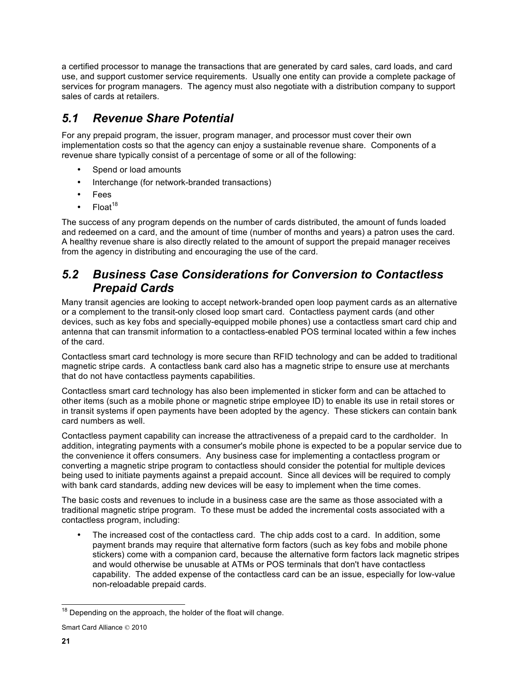a certified processor to manage the transactions that are generated by card sales, card loads, and card use, and support customer service requirements. Usually one entity can provide a complete package of services for program managers. The agency must also negotiate with a distribution company to support sales of cards at retailers.

# *5.1 Revenue Share Potential*

For any prepaid program, the issuer, program manager, and processor must cover their own implementation costs so that the agency can enjoy a sustainable revenue share. Components of a revenue share typically consist of a percentage of some or all of the following:

- Spend or load amounts
- Interchange (for network-branded transactions)
- Fees
- $Fl$ oat<sup>18</sup>

The success of any program depends on the number of cards distributed, the amount of funds loaded and redeemed on a card, and the amount of time (number of months and years) a patron uses the card. A healthy revenue share is also directly related to the amount of support the prepaid manager receives from the agency in distributing and encouraging the use of the card.

### *5.2 Business Case Considerations for Conversion to Contactless Prepaid Cards*

Many transit agencies are looking to accept network-branded open loop payment cards as an alternative or a complement to the transit-only closed loop smart card. Contactless payment cards (and other devices, such as key fobs and specially-equipped mobile phones) use a contactless smart card chip and antenna that can transmit information to a contactless-enabled POS terminal located within a few inches of the card.

Contactless smart card technology is more secure than RFID technology and can be added to traditional magnetic stripe cards. A contactless bank card also has a magnetic stripe to ensure use at merchants that do not have contactless payments capabilities.

Contactless smart card technology has also been implemented in sticker form and can be attached to other items (such as a mobile phone or magnetic stripe employee ID) to enable its use in retail stores or in transit systems if open payments have been adopted by the agency. These stickers can contain bank card numbers as well.

Contactless payment capability can increase the attractiveness of a prepaid card to the cardholder. In addition, integrating payments with a consumer's mobile phone is expected to be a popular service due to the convenience it offers consumers. Any business case for implementing a contactless program or converting a magnetic stripe program to contactless should consider the potential for multiple devices being used to initiate payments against a prepaid account. Since all devices will be required to comply with bank card standards, adding new devices will be easy to implement when the time comes.

The basic costs and revenues to include in a business case are the same as those associated with a traditional magnetic stripe program. To these must be added the incremental costs associated with a contactless program, including:

The increased cost of the contactless card. The chip adds cost to a card. In addition, some payment brands may require that alternative form factors (such as key fobs and mobile phone stickers) come with a companion card, because the alternative form factors lack magnetic stripes and would otherwise be unusable at ATMs or POS terminals that don't have contactless capability. The added expense of the contactless card can be an issue, especially for low-value non-reloadable prepaid cards.

 $18$  Depending on the approach, the holder of the float will change.

Smart Card Alliance © 2010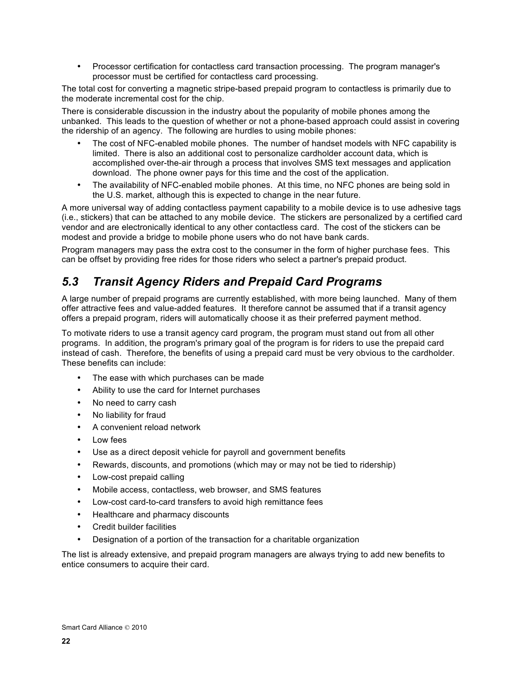• Processor certification for contactless card transaction processing. The program manager's processor must be certified for contactless card processing.

The total cost for converting a magnetic stripe-based prepaid program to contactless is primarily due to the moderate incremental cost for the chip.

There is considerable discussion in the industry about the popularity of mobile phones among the unbanked. This leads to the question of whether or not a phone-based approach could assist in covering the ridership of an agency. The following are hurdles to using mobile phones:

- The cost of NFC-enabled mobile phones. The number of handset models with NFC capability is limited. There is also an additional cost to personalize cardholder account data, which is accomplished over-the-air through a process that involves SMS text messages and application download. The phone owner pays for this time and the cost of the application.
- The availability of NFC-enabled mobile phones. At this time, no NFC phones are being sold in the U.S. market, although this is expected to change in the near future.

A more universal way of adding contactless payment capability to a mobile device is to use adhesive tags (i.e., stickers) that can be attached to any mobile device. The stickers are personalized by a certified card vendor and are electronically identical to any other contactless card. The cost of the stickers can be modest and provide a bridge to mobile phone users who do not have bank cards.

Program managers may pass the extra cost to the consumer in the form of higher purchase fees. This can be offset by providing free rides for those riders who select a partner's prepaid product.

# *5.3 Transit Agency Riders and Prepaid Card Programs*

A large number of prepaid programs are currently established, with more being launched. Many of them offer attractive fees and value-added features. It therefore cannot be assumed that if a transit agency offers a prepaid program, riders will automatically choose it as their preferred payment method.

To motivate riders to use a transit agency card program, the program must stand out from all other programs. In addition, the program's primary goal of the program is for riders to use the prepaid card instead of cash. Therefore, the benefits of using a prepaid card must be very obvious to the cardholder. These benefits can include:

- The ease with which purchases can be made
- Ability to use the card for Internet purchases
- No need to carry cash
- No liability for fraud
- A convenient reload network
- Low fees
- Use as a direct deposit vehicle for payroll and government benefits
- Rewards, discounts, and promotions (which may or may not be tied to ridership)
- Low-cost prepaid calling
- Mobile access, contactless, web browser, and SMS features
- Low-cost card-to-card transfers to avoid high remittance fees
- Healthcare and pharmacy discounts
- Credit builder facilities
- Designation of a portion of the transaction for a charitable organization

The list is already extensive, and prepaid program managers are always trying to add new benefits to entice consumers to acquire their card.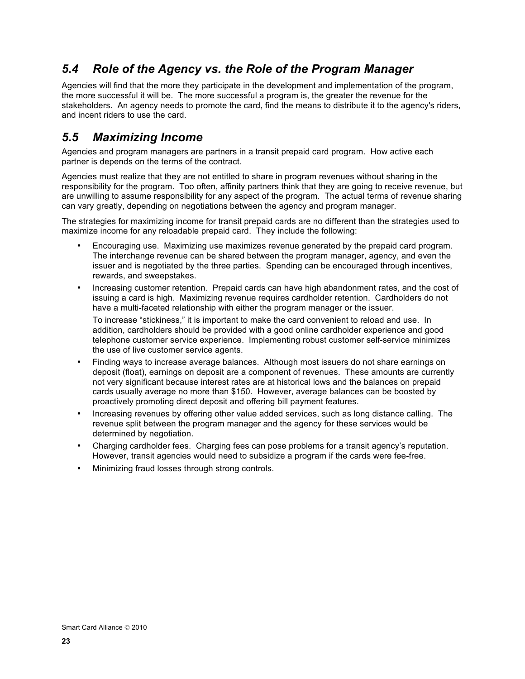## *5.4 Role of the Agency vs. the Role of the Program Manager*

Agencies will find that the more they participate in the development and implementation of the program, the more successful it will be. The more successful a program is, the greater the revenue for the stakeholders. An agency needs to promote the card, find the means to distribute it to the agency's riders, and incent riders to use the card.

## *5.5 Maximizing Income*

Agencies and program managers are partners in a transit prepaid card program. How active each partner is depends on the terms of the contract.

Agencies must realize that they are not entitled to share in program revenues without sharing in the responsibility for the program. Too often, affinity partners think that they are going to receive revenue, but are unwilling to assume responsibility for any aspect of the program. The actual terms of revenue sharing can vary greatly, depending on negotiations between the agency and program manager.

The strategies for maximizing income for transit prepaid cards are no different than the strategies used to maximize income for any reloadable prepaid card. They include the following:

- Encouraging use. Maximizing use maximizes revenue generated by the prepaid card program. The interchange revenue can be shared between the program manager, agency, and even the issuer and is negotiated by the three parties. Spending can be encouraged through incentives, rewards, and sweepstakes.
- Increasing customer retention. Prepaid cards can have high abandonment rates, and the cost of issuing a card is high. Maximizing revenue requires cardholder retention. Cardholders do not have a multi-faceted relationship with either the program manager or the issuer.

To increase "stickiness," it is important to make the card convenient to reload and use. In addition, cardholders should be provided with a good online cardholder experience and good telephone customer service experience. Implementing robust customer self-service minimizes the use of live customer service agents.

- Finding ways to increase average balances. Although most issuers do not share earnings on deposit (float), earnings on deposit are a component of revenues. These amounts are currently not very significant because interest rates are at historical lows and the balances on prepaid cards usually average no more than \$150. However, average balances can be boosted by proactively promoting direct deposit and offering bill payment features.
- Increasing revenues by offering other value added services, such as long distance calling. The revenue split between the program manager and the agency for these services would be determined by negotiation.
- Charging cardholder fees. Charging fees can pose problems for a transit agency's reputation. However, transit agencies would need to subsidize a program if the cards were fee-free.
- Minimizing fraud losses through strong controls.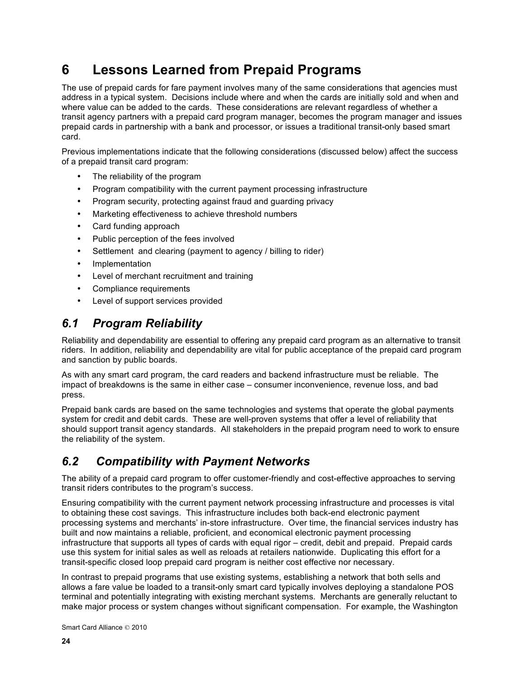# **6 Lessons Learned from Prepaid Programs**

The use of prepaid cards for fare payment involves many of the same considerations that agencies must address in a typical system. Decisions include where and when the cards are initially sold and when and where value can be added to the cards. These considerations are relevant regardless of whether a transit agency partners with a prepaid card program manager, becomes the program manager and issues prepaid cards in partnership with a bank and processor, or issues a traditional transit-only based smart card.

Previous implementations indicate that the following considerations (discussed below) affect the success of a prepaid transit card program:

- The reliability of the program
- Program compatibility with the current payment processing infrastructure
- Program security, protecting against fraud and guarding privacy
- Marketing effectiveness to achieve threshold numbers
- Card funding approach
- Public perception of the fees involved
- Settlement and clearing (payment to agency / billing to rider)
- **Implementation**
- Level of merchant recruitment and training
- Compliance requirements
- Level of support services provided

### *6.1 Program Reliability*

Reliability and dependability are essential to offering any prepaid card program as an alternative to transit riders. In addition, reliability and dependability are vital for public acceptance of the prepaid card program and sanction by public boards.

As with any smart card program, the card readers and backend infrastructure must be reliable. The impact of breakdowns is the same in either case – consumer inconvenience, revenue loss, and bad press.

Prepaid bank cards are based on the same technologies and systems that operate the global payments system for credit and debit cards. These are well-proven systems that offer a level of reliability that should support transit agency standards. All stakeholders in the prepaid program need to work to ensure the reliability of the system.

# *6.2 Compatibility with Payment Networks*

The ability of a prepaid card program to offer customer-friendly and cost-effective approaches to serving transit riders contributes to the program's success.

Ensuring compatibility with the current payment network processing infrastructure and processes is vital to obtaining these cost savings. This infrastructure includes both back-end electronic payment processing systems and merchants' in-store infrastructure. Over time, the financial services industry has built and now maintains a reliable, proficient, and economical electronic payment processing infrastructure that supports all types of cards with equal rigor – credit, debit and prepaid. Prepaid cards use this system for initial sales as well as reloads at retailers nationwide. Duplicating this effort for a transit-specific closed loop prepaid card program is neither cost effective nor necessary.

In contrast to prepaid programs that use existing systems, establishing a network that both sells and allows a fare value be loaded to a transit-only smart card typically involves deploying a standalone POS terminal and potentially integrating with existing merchant systems. Merchants are generally reluctant to make major process or system changes without significant compensation. For example, the Washington

Smart Card Alliance © 2010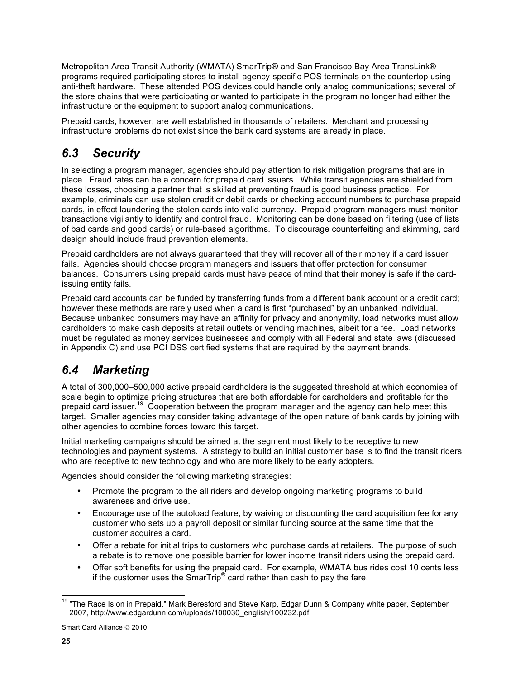Metropolitan Area Transit Authority (WMATA) SmarTrip® and San Francisco Bay Area TransLink® programs required participating stores to install agency-specific POS terminals on the countertop using anti-theft hardware. These attended POS devices could handle only analog communications; several of the store chains that were participating or wanted to participate in the program no longer had either the infrastructure or the equipment to support analog communications.

Prepaid cards, however, are well established in thousands of retailers. Merchant and processing infrastructure problems do not exist since the bank card systems are already in place.

# *6.3 Security*

In selecting a program manager, agencies should pay attention to risk mitigation programs that are in place. Fraud rates can be a concern for prepaid card issuers. While transit agencies are shielded from these losses, choosing a partner that is skilled at preventing fraud is good business practice. For example, criminals can use stolen credit or debit cards or checking account numbers to purchase prepaid cards, in effect laundering the stolen cards into valid currency. Prepaid program managers must monitor transactions vigilantly to identify and control fraud. Monitoring can be done based on filtering (use of lists of bad cards and good cards) or rule-based algorithms. To discourage counterfeiting and skimming, card design should include fraud prevention elements.

Prepaid cardholders are not always guaranteed that they will recover all of their money if a card issuer fails. Agencies should choose program managers and issuers that offer protection for consumer balances. Consumers using prepaid cards must have peace of mind that their money is safe if the cardissuing entity fails.

Prepaid card accounts can be funded by transferring funds from a different bank account or a credit card; however these methods are rarely used when a card is first "purchased" by an unbanked individual. Because unbanked consumers may have an affinity for privacy and anonymity, load networks must allow cardholders to make cash deposits at retail outlets or vending machines, albeit for a fee. Load networks must be regulated as money services businesses and comply with all Federal and state laws (discussed in Appendix C) and use PCI DSS certified systems that are required by the payment brands.

# *6.4 Marketing*

A total of 300,000–500,000 active prepaid cardholders is the suggested threshold at which economies of scale begin to optimize pricing structures that are both affordable for cardholders and profitable for the prepaid card issuer.<sup>19</sup> Cooperation between the program manager and the agency can help meet this target. Smaller agencies may consider taking advantage of the open nature of bank cards by joining with other agencies to combine forces toward this target.

Initial marketing campaigns should be aimed at the segment most likely to be receptive to new technologies and payment systems. A strategy to build an initial customer base is to find the transit riders who are receptive to new technology and who are more likely to be early adopters.

Agencies should consider the following marketing strategies:

- Promote the program to the all riders and develop ongoing marketing programs to build awareness and drive use.
- Encourage use of the autoload feature, by waiving or discounting the card acquisition fee for any customer who sets up a payroll deposit or similar funding source at the same time that the customer acquires a card.
- Offer a rebate for initial trips to customers who purchase cards at retailers. The purpose of such a rebate is to remove one possible barrier for lower income transit riders using the prepaid card.
- Offer soft benefits for using the prepaid card. For example, WMATA bus rides cost 10 cents less if the customer uses the SmarTrip® card rather than cash to pay the fare.

<sup>&</sup>lt;sup>19</sup> "The Race Is on in Prepaid," Mark Beresford and Steve Karp, Edgar Dunn & Company white paper, September 2007, http://www.edgardunn.com/uploads/100030\_english/100232.pdf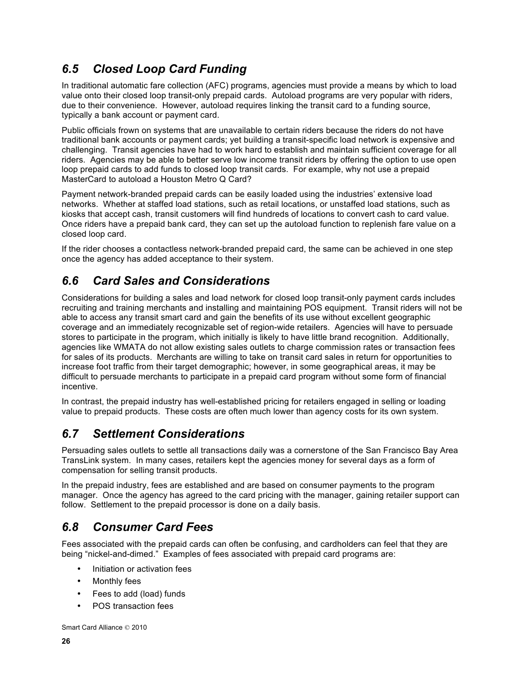# *6.5 Closed Loop Card Funding*

In traditional automatic fare collection (AFC) programs, agencies must provide a means by which to load value onto their closed loop transit-only prepaid cards. Autoload programs are very popular with riders, due to their convenience. However, autoload requires linking the transit card to a funding source, typically a bank account or payment card.

Public officials frown on systems that are unavailable to certain riders because the riders do not have traditional bank accounts or payment cards; yet building a transit-specific load network is expensive and challenging. Transit agencies have had to work hard to establish and maintain sufficient coverage for all riders. Agencies may be able to better serve low income transit riders by offering the option to use open loop prepaid cards to add funds to closed loop transit cards. For example, why not use a prepaid MasterCard to autoload a Houston Metro Q Card?

Payment network-branded prepaid cards can be easily loaded using the industries' extensive load networks. Whether at staffed load stations, such as retail locations, or unstaffed load stations, such as kiosks that accept cash, transit customers will find hundreds of locations to convert cash to card value. Once riders have a prepaid bank card, they can set up the autoload function to replenish fare value on a closed loop card.

If the rider chooses a contactless network-branded prepaid card, the same can be achieved in one step once the agency has added acceptance to their system.

# *6.6 Card Sales and Considerations*

Considerations for building a sales and load network for closed loop transit-only payment cards includes recruiting and training merchants and installing and maintaining POS equipment. Transit riders will not be able to access any transit smart card and gain the benefits of its use without excellent geographic coverage and an immediately recognizable set of region-wide retailers. Agencies will have to persuade stores to participate in the program, which initially is likely to have little brand recognition. Additionally, agencies like WMATA do not allow existing sales outlets to charge commission rates or transaction fees for sales of its products. Merchants are willing to take on transit card sales in return for opportunities to increase foot traffic from their target demographic; however, in some geographical areas, it may be difficult to persuade merchants to participate in a prepaid card program without some form of financial incentive.

In contrast, the prepaid industry has well-established pricing for retailers engaged in selling or loading value to prepaid products. These costs are often much lower than agency costs for its own system.

# *6.7 Settlement Considerations*

Persuading sales outlets to settle all transactions daily was a cornerstone of the San Francisco Bay Area TransLink system. In many cases, retailers kept the agencies money for several days as a form of compensation for selling transit products.

In the prepaid industry, fees are established and are based on consumer payments to the program manager. Once the agency has agreed to the card pricing with the manager, gaining retailer support can follow. Settlement to the prepaid processor is done on a daily basis.

# *6.8 Consumer Card Fees*

Fees associated with the prepaid cards can often be confusing, and cardholders can feel that they are being "nickel-and-dimed." Examples of fees associated with prepaid card programs are:

- Initiation or activation fees
- Monthly fees
- Fees to add (load) funds
- POS transaction fees

Smart Card Alliance © 2010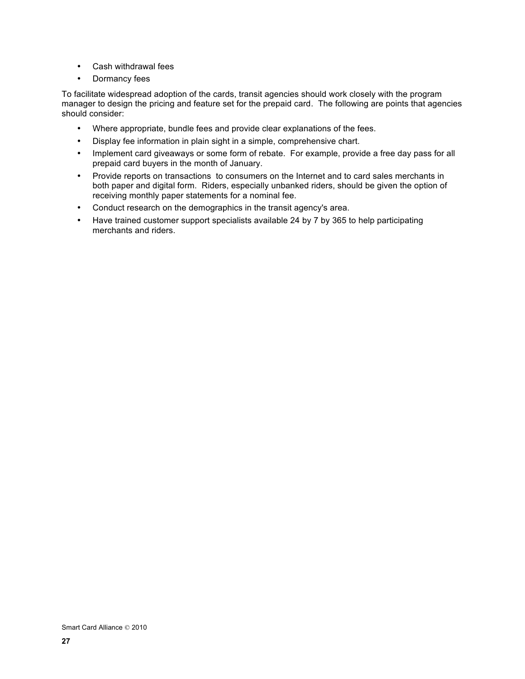- Cash withdrawal fees
- Dormancy fees

To facilitate widespread adoption of the cards, transit agencies should work closely with the program manager to design the pricing and feature set for the prepaid card. The following are points that agencies should consider:

- Where appropriate, bundle fees and provide clear explanations of the fees.
- Display fee information in plain sight in a simple, comprehensive chart.
- Implement card giveaways or some form of rebate. For example, provide a free day pass for all prepaid card buyers in the month of January.
- Provide reports on transactions to consumers on the Internet and to card sales merchants in both paper and digital form. Riders, especially unbanked riders, should be given the option of receiving monthly paper statements for a nominal fee.
- Conduct research on the demographics in the transit agency's area.
- Have trained customer support specialists available 24 by 7 by 365 to help participating merchants and riders.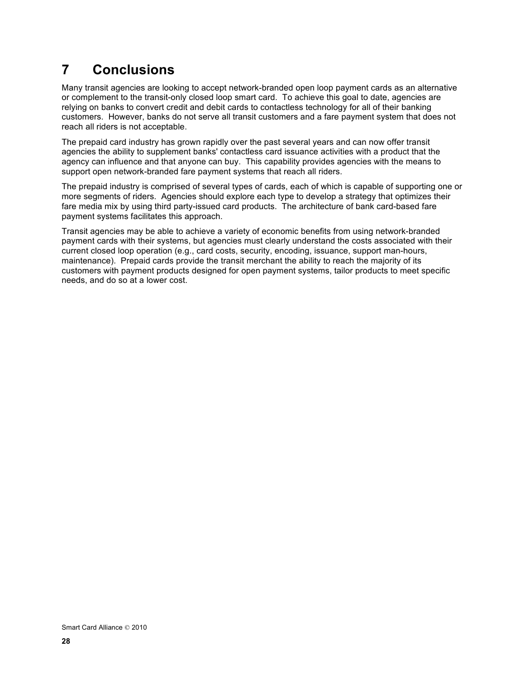# **7 Conclusions**

Many transit agencies are looking to accept network-branded open loop payment cards as an alternative or complement to the transit-only closed loop smart card. To achieve this goal to date, agencies are relying on banks to convert credit and debit cards to contactless technology for all of their banking customers. However, banks do not serve all transit customers and a fare payment system that does not reach all riders is not acceptable.

The prepaid card industry has grown rapidly over the past several years and can now offer transit agencies the ability to supplement banks' contactless card issuance activities with a product that the agency can influence and that anyone can buy. This capability provides agencies with the means to support open network-branded fare payment systems that reach all riders.

The prepaid industry is comprised of several types of cards, each of which is capable of supporting one or more segments of riders. Agencies should explore each type to develop a strategy that optimizes their fare media mix by using third party-issued card products. The architecture of bank card-based fare payment systems facilitates this approach.

Transit agencies may be able to achieve a variety of economic benefits from using network-branded payment cards with their systems, but agencies must clearly understand the costs associated with their current closed loop operation (e.g., card costs, security, encoding, issuance, support man-hours, maintenance). Prepaid cards provide the transit merchant the ability to reach the majority of its customers with payment products designed for open payment systems, tailor products to meet specific needs, and do so at a lower cost.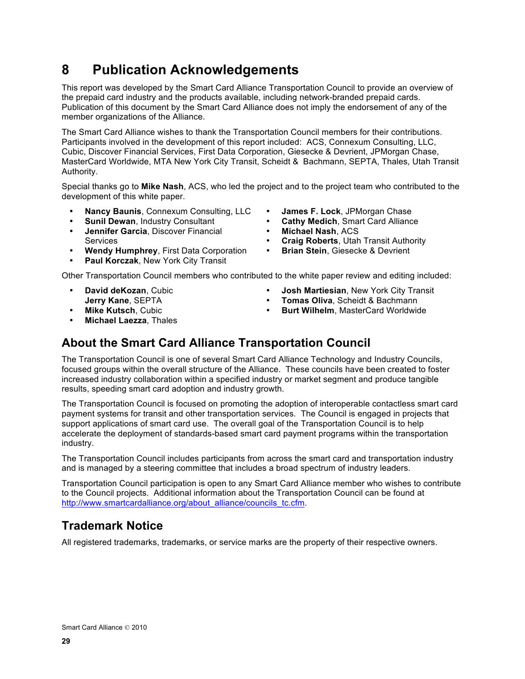# **8 Publication Acknowledgements**

This report was developed by the Smart Card Alliance Transportation Council to provide an overview of the prepaid card industry and the products available, including network-branded prepaid cards. Publication of this document by the Smart Card Alliance does not imply the endorsement of any of the member organizations of the Alliance.

The Smart Card Alliance wishes to thank the Transportation Council members for their contributions. Participants involved in the development of this report included: ACS, Connexum Consulting, LLC, Cubic, Discover Financial Services, First Data Corporation, Giesecke & Devrient, JPMorgan Chase, MasterCard Worldwide, MTA New York City Transit, Scheidt & Bachmann, SEPTA, Thales, Utah Transit Authority.

Special thanks go to **Mike Nash**, ACS, who led the project and to the project team who contributed to the development of this white paper.

- **Nancy Baunis**, Connexum Consulting, LLC <br>  **James F. Lock**, JPMorgan Chase<br> **Sunil Dewan**, Industry Consultant  **Cathy Medich**, Smart Card Alliance
- **Sunil Dewan**, Industry Consultant  **Cathy Medich**, Sma<br>• Jennifer Garcia. Discover Financial  **Michael Nash**. ACS
- **Jennifer Garcia**, Discover Financial Services
- **Wendy Humphrey, First Data Corporation**
- **Paul Korczak**, New York City Transit
- 
- 
- 
- **Craig Roberts**, Utah Transit Authority<br> **Brian Stein**, Giesecke & Devrient
- 

Other Transportation Council members who contributed to the white paper review and editing included:

- 
- **David deKozan**, Cubic **Josh Martiesian**, New York City Transit
	-
	- **Jerry Kane**, SEPTA  **Tomas Oliva**, Scheidt & Bachmann<br> **Mike Kutsch**. Cubic  **Burt Wilhelm**. MasterCard Worldwid **Burt Wilhelm, MasterCard Worldwide**
- **Michael Laezza**, Thales

### **About the Smart Card Alliance Transportation Council**

The Transportation Council is one of several Smart Card Alliance Technology and Industry Councils, focused groups within the overall structure of the Alliance. These councils have been created to foster increased industry collaboration within a specified industry or market segment and produce tangible results, speeding smart card adoption and industry growth.

The Transportation Council is focused on promoting the adoption of interoperable contactless smart card payment systems for transit and other transportation services. The Council is engaged in projects that support applications of smart card use. The overall goal of the Transportation Council is to help accelerate the deployment of standards-based smart card payment programs within the transportation industry.

The Transportation Council includes participants from across the smart card and transportation industry and is managed by a steering committee that includes a broad spectrum of industry leaders.

Transportation Council participation is open to any Smart Card Alliance member who wishes to contribute to the Council projects. Additional information about the Transportation Council can be found at http://www.smartcardalliance.org/about\_alliance/councils\_tc.cfm.

### **Trademark Notice**

All registered trademarks, trademarks, or service marks are the property of their respective owners.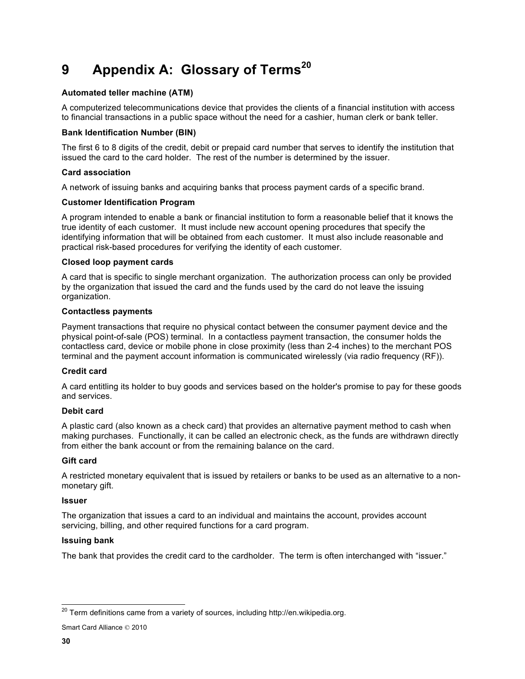# **9 Appendix A: Glossary of Terms<sup>20</sup>**

### **Automated teller machine (ATM)**

A computerized telecommunications device that provides the clients of a financial institution with access to financial transactions in a public space without the need for a cashier, human clerk or bank teller.

### **Bank Identification Number (BIN)**

The first 6 to 8 digits of the credit, debit or prepaid card number that serves to identify the institution that issued the card to the card holder. The rest of the number is determined by the issuer.

### **Card association**

A network of issuing banks and acquiring banks that process payment cards of a specific brand.

### **Customer Identification Program**

A program intended to enable a bank or financial institution to form a reasonable belief that it knows the true identity of each customer. It must include new account opening procedures that specify the identifying information that will be obtained from each customer. It must also include reasonable and practical risk-based procedures for verifying the identity of each customer.

### **Closed loop payment cards**

A card that is specific to single merchant organization. The authorization process can only be provided by the organization that issued the card and the funds used by the card do not leave the issuing organization.

### **Contactless payments**

Payment transactions that require no physical contact between the consumer payment device and the physical point-of-sale (POS) terminal. In a contactless payment transaction, the consumer holds the contactless card, device or mobile phone in close proximity (less than 2-4 inches) to the merchant POS terminal and the payment account information is communicated wirelessly (via radio frequency (RF)).

#### **Credit card**

A card entitling its holder to buy goods and services based on the holder's promise to pay for these goods and services.

#### **Debit card**

A plastic card (also known as a check card) that provides an alternative payment method to cash when making purchases. Functionally, it can be called an electronic check, as the funds are withdrawn directly from either the bank account or from the remaining balance on the card.

#### **Gift card**

A restricted monetary equivalent that is issued by retailers or banks to be used as an alternative to a nonmonetary gift.

#### **Issuer**

The organization that issues a card to an individual and maintains the account, provides account servicing, billing, and other required functions for a card program.

#### **Issuing bank**

The bank that provides the credit card to the cardholder. The term is often interchanged with "issuer."

 $20$  Term definitions came from a variety of sources, including http://en.wikipedia.org.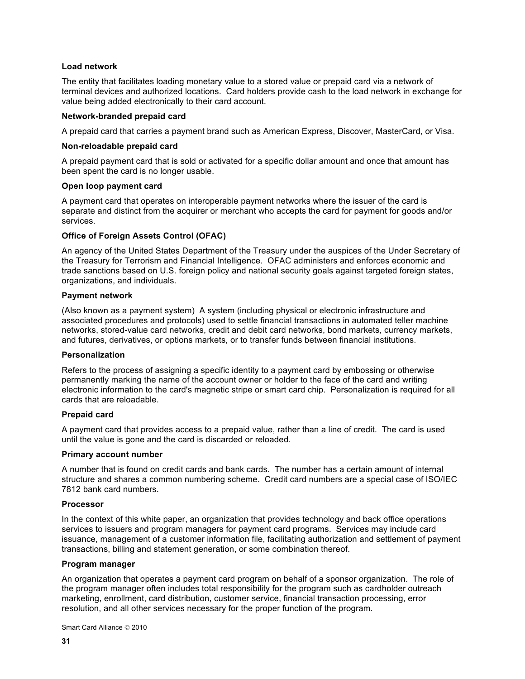#### **Load network**

The entity that facilitates loading monetary value to a stored value or prepaid card via a network of terminal devices and authorized locations. Card holders provide cash to the load network in exchange for value being added electronically to their card account.

#### **Network-branded prepaid card**

A prepaid card that carries a payment brand such as American Express, Discover, MasterCard, or Visa.

#### **Non-reloadable prepaid card**

A prepaid payment card that is sold or activated for a specific dollar amount and once that amount has been spent the card is no longer usable.

#### **Open loop payment card**

A payment card that operates on interoperable payment networks where the issuer of the card is separate and distinct from the acquirer or merchant who accepts the card for payment for goods and/or services.

#### **Office of Foreign Assets Control (OFAC)**

An agency of the United States Department of the Treasury under the auspices of the Under Secretary of the Treasury for Terrorism and Financial Intelligence. OFAC administers and enforces economic and trade sanctions based on U.S. foreign policy and national security goals against targeted foreign states, organizations, and individuals.

#### **Payment network**

(Also known as a payment system) A system (including physical or electronic infrastructure and associated procedures and protocols) used to settle financial transactions in automated teller machine networks, stored-value card networks, credit and debit card networks, bond markets, currency markets, and futures, derivatives, or options markets, or to transfer funds between financial institutions.

#### **Personalization**

Refers to the process of assigning a specific identity to a payment card by embossing or otherwise permanently marking the name of the account owner or holder to the face of the card and writing electronic information to the card's magnetic stripe or smart card chip. Personalization is required for all cards that are reloadable.

#### **Prepaid card**

A payment card that provides access to a prepaid value, rather than a line of credit. The card is used until the value is gone and the card is discarded or reloaded.

#### **Primary account number**

A number that is found on credit cards and bank cards. The number has a certain amount of internal structure and shares a common numbering scheme. Credit card numbers are a special case of ISO/IEC 7812 bank card numbers.

#### **Processor**

In the context of this white paper, an organization that provides technology and back office operations services to issuers and program managers for payment card programs. Services may include card issuance, management of a customer information file, facilitating authorization and settlement of payment transactions, billing and statement generation, or some combination thereof.

#### **Program manager**

An organization that operates a payment card program on behalf of a sponsor organization. The role of the program manager often includes total responsibility for the program such as cardholder outreach marketing, enrollment, card distribution, customer service, financial transaction processing, error resolution, and all other services necessary for the proper function of the program.

Smart Card Alliance © 2010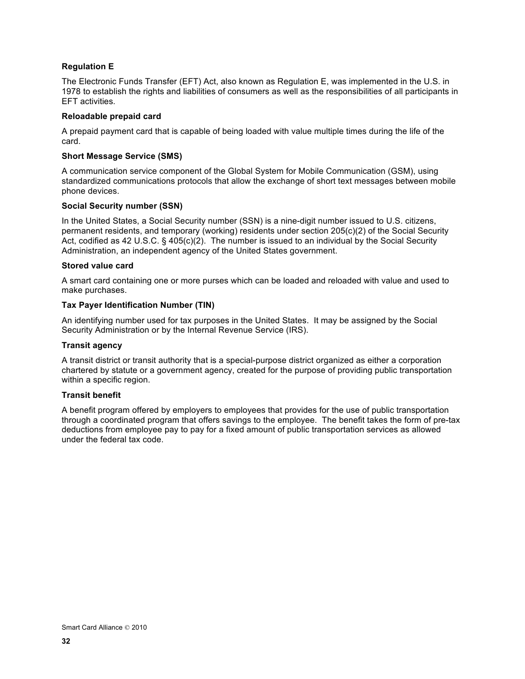### **Regulation E**

The Electronic Funds Transfer (EFT) Act, also known as Regulation E, was implemented in the U.S. in 1978 to establish the rights and liabilities of consumers as well as the responsibilities of all participants in EFT activities.

#### **Reloadable prepaid card**

A prepaid payment card that is capable of being loaded with value multiple times during the life of the card.

#### **Short Message Service (SMS)**

A communication service component of the Global System for Mobile Communication (GSM), using standardized communications protocols that allow the exchange of short text messages between mobile phone devices.

### **Social Security number (SSN)**

In the United States, a Social Security number (SSN) is a nine-digit number issued to U.S. citizens, permanent residents, and temporary (working) residents under section 205(c)(2) of the Social Security Act, codified as 42 U.S.C. § 405(c)(2). The number is issued to an individual by the Social Security Administration, an independent agency of the United States government.

### **Stored value card**

A smart card containing one or more purses which can be loaded and reloaded with value and used to make purchases.

### **Tax Payer Identification Number (TIN)**

An identifying number used for tax purposes in the United States. It may be assigned by the Social Security Administration or by the Internal Revenue Service (IRS).

#### **Transit agency**

A transit district or transit authority that is a special-purpose district organized as either a corporation chartered by statute or a government agency, created for the purpose of providing public transportation within a specific region.

#### **Transit benefit**

A benefit program offered by employers to employees that provides for the use of public transportation through a coordinated program that offers savings to the employee. The benefit takes the form of pre-tax deductions from employee pay to pay for a fixed amount of public transportation services as allowed under the federal tax code.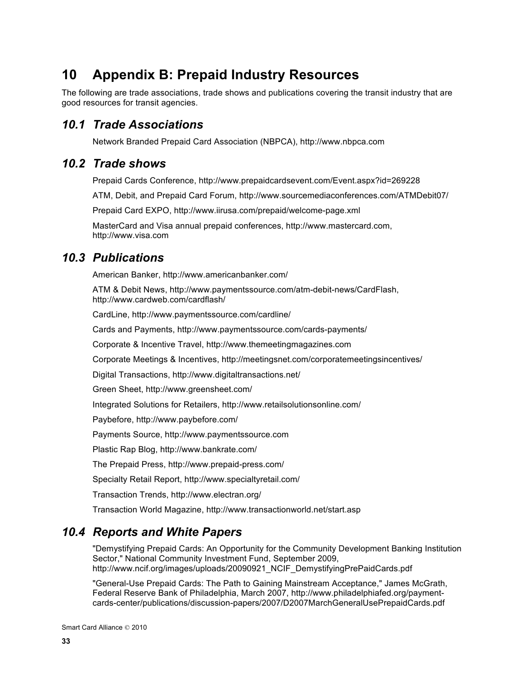# **10 Appendix B: Prepaid Industry Resources**

The following are trade associations, trade shows and publications covering the transit industry that are good resources for transit agencies.

### *10.1 Trade Associations*

Network Branded Prepaid Card Association (NBPCA), http://www.nbpca.com

### *10.2 Trade shows*

Prepaid Cards Conference, http://www.prepaidcardsevent.com/Event.aspx?id=269228

ATM, Debit, and Prepaid Card Forum, http://www.sourcemediaconferences.com/ATMDebit07/

Prepaid Card EXPO, http://www.iirusa.com/prepaid/welcome-page.xml

MasterCard and Visa annual prepaid conferences, http://www.mastercard.com, http://www.visa.com

### *10.3 Publications*

American Banker, http://www.americanbanker.com/

ATM & Debit News, http://www.paymentssource.com/atm-debit-news/CardFlash, http://www.cardweb.com/cardflash/

CardLine, http://www.paymentssource.com/cardline/

Cards and Payments, http://www.paymentssource.com/cards-payments/

Corporate & Incentive Travel, http://www.themeetingmagazines.com

Corporate Meetings & Incentives, http://meetingsnet.com/corporatemeetingsincentives/

Digital Transactions, http://www.digitaltransactions.net/

Green Sheet, http://www.greensheet.com/

Integrated Solutions for Retailers, http://www.retailsolutionsonline.com/

Paybefore, http://www.paybefore.com/

Payments Source, http://www.paymentssource.com

Plastic Rap Blog, http://www.bankrate.com/

The Prepaid Press, http://www.prepaid-press.com/

Specialty Retail Report, http://www.specialtyretail.com/

Transaction Trends, http://www.electran.org/

Transaction World Magazine, http://www.transactionworld.net/start.asp

### *10.4 Reports and White Papers*

"Demystifying Prepaid Cards: An Opportunity for the Community Development Banking Institution Sector," National Community Investment Fund, September 2009, http://www.ncif.org/images/uploads/20090921\_NCIF\_DemystifyingPrePaidCards.pdf

"General-Use Prepaid Cards: The Path to Gaining Mainstream Acceptance," James McGrath, Federal Reserve Bank of Philadelphia, March 2007, http://www.philadelphiafed.org/paymentcards-center/publications/discussion-papers/2007/D2007MarchGeneralUsePrepaidCards.pdf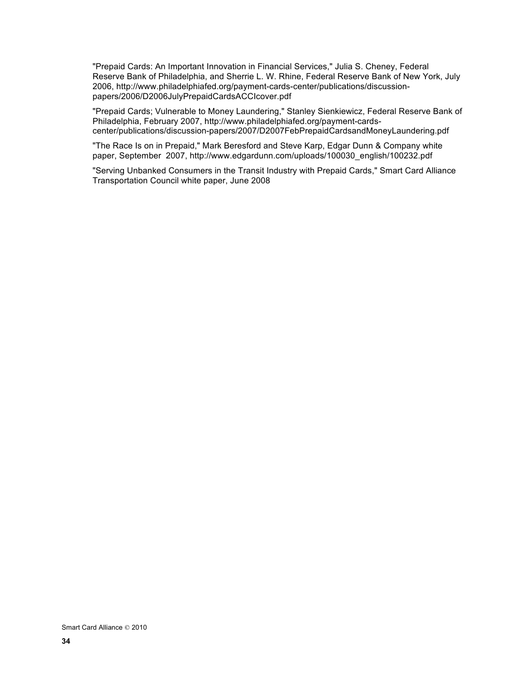"Prepaid Cards: An Important Innovation in Financial Services," Julia S. Cheney, Federal Reserve Bank of Philadelphia, and Sherrie L. W. Rhine, Federal Reserve Bank of New York, July 2006, http://www.philadelphiafed.org/payment-cards-center/publications/discussionpapers/2006/D2006JulyPrepaidCardsACCIcover.pdf

"Prepaid Cards; Vulnerable to Money Laundering," Stanley Sienkiewicz, Federal Reserve Bank of Philadelphia, February 2007, http://www.philadelphiafed.org/payment-cardscenter/publications/discussion-papers/2007/D2007FebPrepaidCardsandMoneyLaundering.pdf

"The Race Is on in Prepaid," Mark Beresford and Steve Karp, Edgar Dunn & Company white paper, September 2007, http://www.edgardunn.com/uploads/100030\_english/100232.pdf

"Serving Unbanked Consumers in the Transit Industry with Prepaid Cards," Smart Card Alliance Transportation Council white paper, June 2008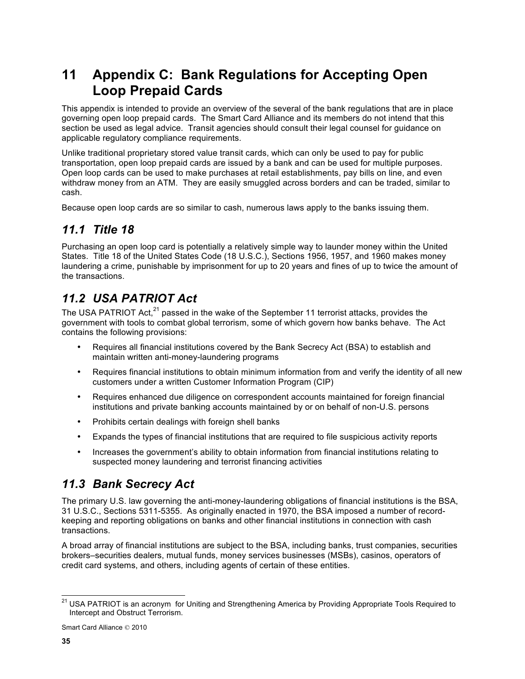# **11 Appendix C: Bank Regulations for Accepting Open Loop Prepaid Cards**

This appendix is intended to provide an overview of the several of the bank regulations that are in place governing open loop prepaid cards. The Smart Card Alliance and its members do not intend that this section be used as legal advice. Transit agencies should consult their legal counsel for guidance on applicable regulatory compliance requirements.

Unlike traditional proprietary stored value transit cards, which can only be used to pay for public transportation, open loop prepaid cards are issued by a bank and can be used for multiple purposes. Open loop cards can be used to make purchases at retail establishments, pay bills on line, and even withdraw money from an ATM. They are easily smuggled across borders and can be traded, similar to cash.

Because open loop cards are so similar to cash, numerous laws apply to the banks issuing them.

## *11.1 Title 18*

Purchasing an open loop card is potentially a relatively simple way to launder money within the United States. Title 18 of the United States Code (18 U.S.C.), Sections 1956, 1957, and 1960 makes money laundering a crime, punishable by imprisonment for up to 20 years and fines of up to twice the amount of the transactions.

# *11.2 USA PATRIOT Act*

The USA PATRIOT Act, $^{21}$  passed in the wake of the September 11 terrorist attacks, provides the government with tools to combat global terrorism, some of which govern how banks behave. The Act contains the following provisions:

- Requires all financial institutions covered by the Bank Secrecy Act (BSA) to establish and maintain written anti-money-laundering programs
- Requires financial institutions to obtain minimum information from and verify the identity of all new customers under a written Customer Information Program (CIP)
- Requires enhanced due diligence on correspondent accounts maintained for foreign financial institutions and private banking accounts maintained by or on behalf of non-U.S. persons
- Prohibits certain dealings with foreign shell banks
- Expands the types of financial institutions that are required to file suspicious activity reports
- Increases the government's ability to obtain information from financial institutions relating to suspected money laundering and terrorist financing activities

# *11.3 Bank Secrecy Act*

The primary U.S. law governing the anti-money-laundering obligations of financial institutions is the BSA, 31 U.S.C., Sections 5311-5355. As originally enacted in 1970, the BSA imposed a number of recordkeeping and reporting obligations on banks and other financial institutions in connection with cash transactions.

A broad array of financial institutions are subject to the BSA, including banks, trust companies, securities brokers–securities dealers, mutual funds, money services businesses (MSBs), casinos, operators of credit card systems, and others, including agents of certain of these entities.

<sup>&</sup>lt;sup>21</sup> USA PATRIOT is an acronym for Uniting and Strengthening America by Providing Appropriate Tools Required to Intercept and Obstruct Terrorism.